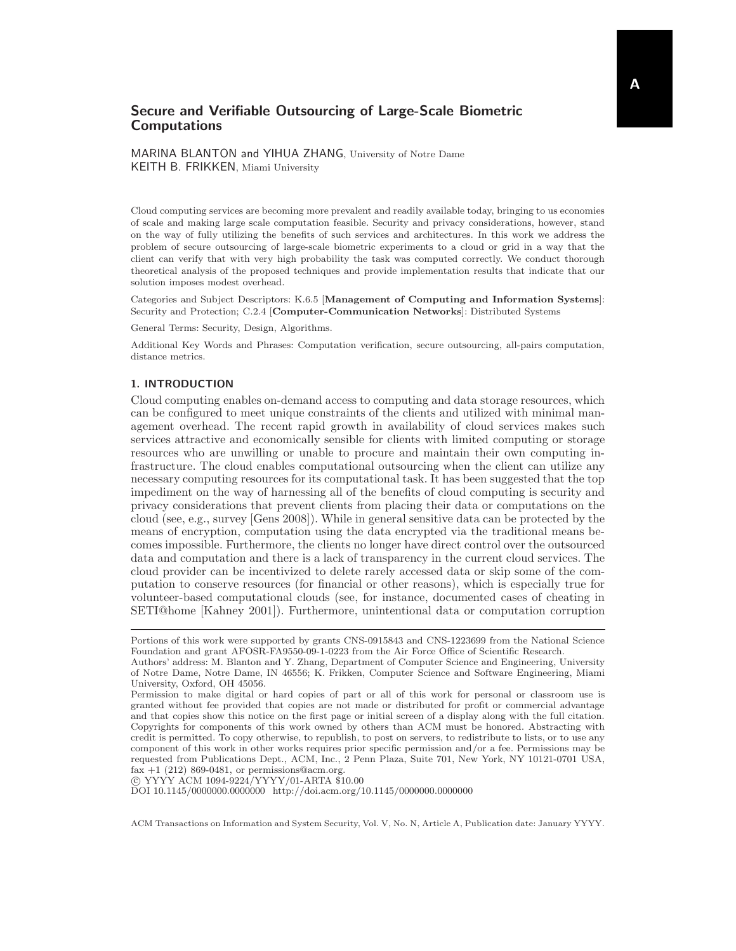# Secure and Verifiable Outsourcing of Large-Scale Biometric Computations

MARINA BLANTON and YIHUA ZHANG, University of Notre Dame KEITH B. FRIKKEN, Miami University

Cloud computing services are becoming more prevalent and readily available today, bringing to us economies of scale and making large scale computation feasible. Security and privacy considerations, however, stand on the way of fully utilizing the benefits of such services and architectures. In this work we address the problem of secure outsourcing of large-scale biometric experiments to a cloud or grid in a way that the client can verify that with very high probability the task was computed correctly. We conduct thorough theoretical analysis of the proposed techniques and provide implementation results that indicate that our solution imposes modest overhead.

Categories and Subject Descriptors: K.6.5 [Management of Computing and Information Systems]: Security and Protection; C.2.4 [Computer-Communication Networks]: Distributed Systems

General Terms: Security, Design, Algorithms.

Additional Key Words and Phrases: Computation verification, secure outsourcing, all-pairs computation, distance metrics.

## 1. INTRODUCTION

Cloud computing enables on-demand access to computing and data storage resources, which can be configured to meet unique constraints of the clients and utilized with minimal management overhead. The recent rapid growth in availability of cloud services makes such services attractive and economically sensible for clients with limited computing or storage resources who are unwilling or unable to procure and maintain their own computing infrastructure. The cloud enables computational outsourcing when the client can utilize any necessary computing resources for its computational task. It has been suggested that the top impediment on the way of harnessing all of the benefits of cloud computing is security and privacy considerations that prevent clients from placing their data or computations on the cloud (see, e.g., survey [Gens 2008]). While in general sensitive data can be protected by the means of encryption, computation using the data encrypted via the traditional means becomes impossible. Furthermore, the clients no longer have direct control over the outsourced data and computation and there is a lack of transparency in the current cloud services. The cloud provider can be incentivized to delete rarely accessed data or skip some of the computation to conserve resources (for financial or other reasons), which is especially true for volunteer-based computational clouds (see, for instance, documented cases of cheating in SETI@home [Kahney 2001]). Furthermore, unintentional data or computation corruption

c YYYY ACM 1094-9224/YYYY/01-ARTA \$10.00

 $\rm{DOI}$ 10.1145/0000000.0000000000000 http://doi.acm.org/10.1145/0000000.0000000

Portions of this work were supported by grants CNS-0915843 and CNS-1223699 from the National Science Foundation and grant AFOSR-FA9550-09-1-0223 from the Air Force Office of Scientific Research.

Authors' address: M. Blanton and Y. Zhang, Department of Computer Science and Engineering, University of Notre Dame, Notre Dame, IN 46556; K. Frikken, Computer Science and Software Engineering, Miami University, Oxford, OH 45056.

Permission to make digital or hard copies of part or all of this work for personal or classroom use is granted without fee provided that copies are not made or distributed for profit or commercial advantage and that copies show this notice on the first page or initial screen of a display along with the full citation. Copyrights for components of this work owned by others than ACM must be honored. Abstracting with credit is permitted. To copy otherwise, to republish, to post on servers, to redistribute to lists, or to use any component of this work in other works requires prior specific permission and/or a fee. Permissions may be requested from Publications Dept., ACM, Inc., 2 Penn Plaza, Suite 701, New York, NY 10121-0701 USA, fax  $+1$  (212) 869-0481, or permissions@acm.org.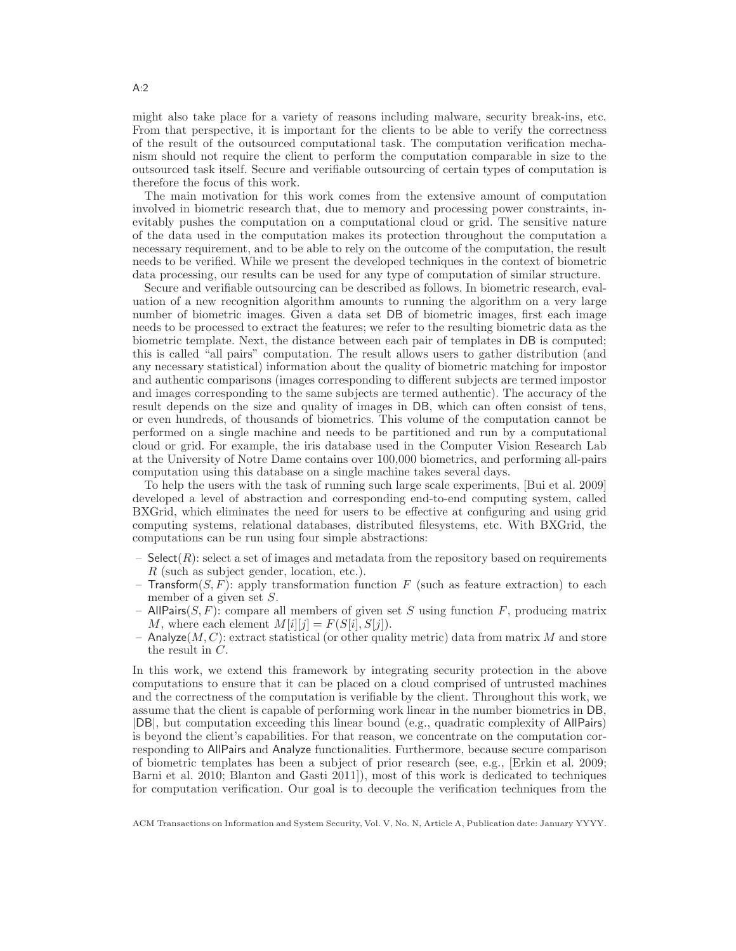might also take place for a variety of reasons including malware, security break-ins, etc. From that perspective, it is important for the clients to be able to verify the correctness of the result of the outsourced computational task. The computation verification mechanism should not require the client to perform the computation comparable in size to the outsourced task itself. Secure and verifiable outsourcing of certain types of computation is therefore the focus of this work.

The main motivation for this work comes from the extensive amount of computation involved in biometric research that, due to memory and processing power constraints, inevitably pushes the computation on a computational cloud or grid. The sensitive nature of the data used in the computation makes its protection throughout the computation a necessary requirement, and to be able to rely on the outcome of the computation, the result needs to be verified. While we present the developed techniques in the context of biometric data processing, our results can be used for any type of computation of similar structure.

Secure and verifiable outsourcing can be described as follows. In biometric research, evaluation of a new recognition algorithm amounts to running the algorithm on a very large number of biometric images. Given a data set DB of biometric images, first each image needs to be processed to extract the features; we refer to the resulting biometric data as the biometric template. Next, the distance between each pair of templates in DB is computed; this is called "all pairs" computation. The result allows users to gather distribution (and any necessary statistical) information about the quality of biometric matching for impostor and authentic comparisons (images corresponding to different subjects are termed impostor and images corresponding to the same subjects are termed authentic). The accuracy of the result depends on the size and quality of images in DB, which can often consist of tens, or even hundreds, of thousands of biometrics. This volume of the computation cannot be performed on a single machine and needs to be partitioned and run by a computational cloud or grid. For example, the iris database used in the Computer Vision Research Lab at the University of Notre Dame contains over 100,000 biometrics, and performing all-pairs computation using this database on a single machine takes several days.

To help the users with the task of running such large scale experiments, [Bui et al. 2009] developed a level of abstraction and corresponding end-to-end computing system, called BXGrid, which eliminates the need for users to be effective at configuring and using grid computing systems, relational databases, distributed filesystems, etc. With BXGrid, the computations can be run using four simple abstractions:

- Select $(R)$ : select a set of images and metadata from the repository based on requirements R (such as subject gender, location, etc.).
- Transform $(S, F)$ : apply transformation function F (such as feature extraction) to each member of a given set S.
- AllPairs(S, F): compare all members of given set S using function F, producing matrix M, where each element  $M[i][j] = F(S[i], S[j]).$
- Analyze $(M, C)$ : extract statistical (or other quality metric) data from matrix M and store the result in C.

In this work, we extend this framework by integrating security protection in the above computations to ensure that it can be placed on a cloud comprised of untrusted machines and the correctness of the computation is verifiable by the client. Throughout this work, we assume that the client is capable of performing work linear in the number biometrics in DB, |DB|, but computation exceeding this linear bound (e.g., quadratic complexity of AllPairs) is beyond the client's capabilities. For that reason, we concentrate on the computation corresponding to AllPairs and Analyze functionalities. Furthermore, because secure comparison of biometric templates has been a subject of prior research (see, e.g., [Erkin et al. 2009; Barni et al. 2010; Blanton and Gasti 2011]), most of this work is dedicated to techniques for computation verification. Our goal is to decouple the verification techniques from the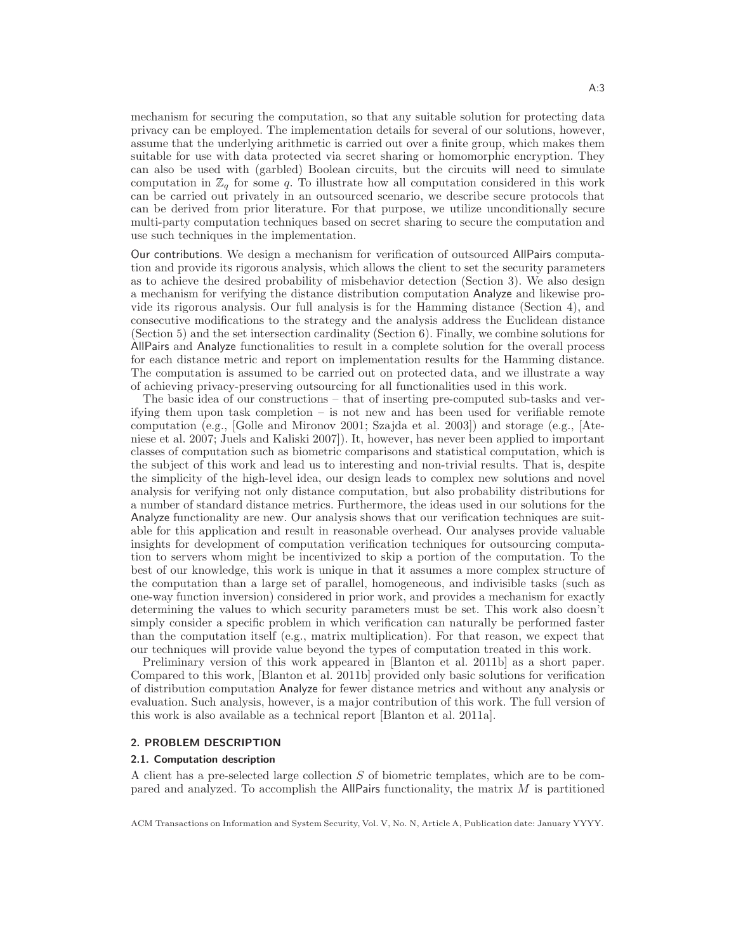mechanism for securing the computation, so that any suitable solution for protecting data privacy can be employed. The implementation details for several of our solutions, however, assume that the underlying arithmetic is carried out over a finite group, which makes them suitable for use with data protected via secret sharing or homomorphic encryption. They can also be used with (garbled) Boolean circuits, but the circuits will need to simulate computation in  $\mathbb{Z}_q$  for some q. To illustrate how all computation considered in this work can be carried out privately in an outsourced scenario, we describe secure protocols that can be derived from prior literature. For that purpose, we utilize unconditionally secure multi-party computation techniques based on secret sharing to secure the computation and use such techniques in the implementation.

Our contributions. We design a mechanism for verification of outsourced AllPairs computation and provide its rigorous analysis, which allows the client to set the security parameters as to achieve the desired probability of misbehavior detection (Section 3). We also design a mechanism for verifying the distance distribution computation Analyze and likewise provide its rigorous analysis. Our full analysis is for the Hamming distance (Section 4), and consecutive modifications to the strategy and the analysis address the Euclidean distance (Section 5) and the set intersection cardinality (Section 6). Finally, we combine solutions for AllPairs and Analyze functionalities to result in a complete solution for the overall process for each distance metric and report on implementation results for the Hamming distance. The computation is assumed to be carried out on protected data, and we illustrate a way of achieving privacy-preserving outsourcing for all functionalities used in this work.

The basic idea of our constructions – that of inserting pre-computed sub-tasks and verifying them upon task completion – is not new and has been used for verifiable remote computation (e.g., [Golle and Mironov 2001; Szajda et al. 2003]) and storage (e.g., [Ateniese et al. 2007; Juels and Kaliski 2007]). It, however, has never been applied to important classes of computation such as biometric comparisons and statistical computation, which is the subject of this work and lead us to interesting and non-trivial results. That is, despite the simplicity of the high-level idea, our design leads to complex new solutions and novel analysis for verifying not only distance computation, but also probability distributions for a number of standard distance metrics. Furthermore, the ideas used in our solutions for the Analyze functionality are new. Our analysis shows that our verification techniques are suitable for this application and result in reasonable overhead. Our analyses provide valuable insights for development of computation verification techniques for outsourcing computation to servers whom might be incentivized to skip a portion of the computation. To the best of our knowledge, this work is unique in that it assumes a more complex structure of the computation than a large set of parallel, homogeneous, and indivisible tasks (such as one-way function inversion) considered in prior work, and provides a mechanism for exactly determining the values to which security parameters must be set. This work also doesn't simply consider a specific problem in which verification can naturally be performed faster than the computation itself (e.g., matrix multiplication). For that reason, we expect that our techniques will provide value beyond the types of computation treated in this work.

Preliminary version of this work appeared in [Blanton et al. 2011b] as a short paper. Compared to this work, [Blanton et al. 2011b] provided only basic solutions for verification of distribution computation Analyze for fewer distance metrics and without any analysis or evaluation. Such analysis, however, is a major contribution of this work. The full version of this work is also available as a technical report [Blanton et al. 2011a].

## 2. PROBLEM DESCRIPTION

### 2.1. Computation description

A client has a pre-selected large collection S of biometric templates, which are to be compared and analyzed. To accomplish the AllPairs functionality, the matrix  $M$  is partitioned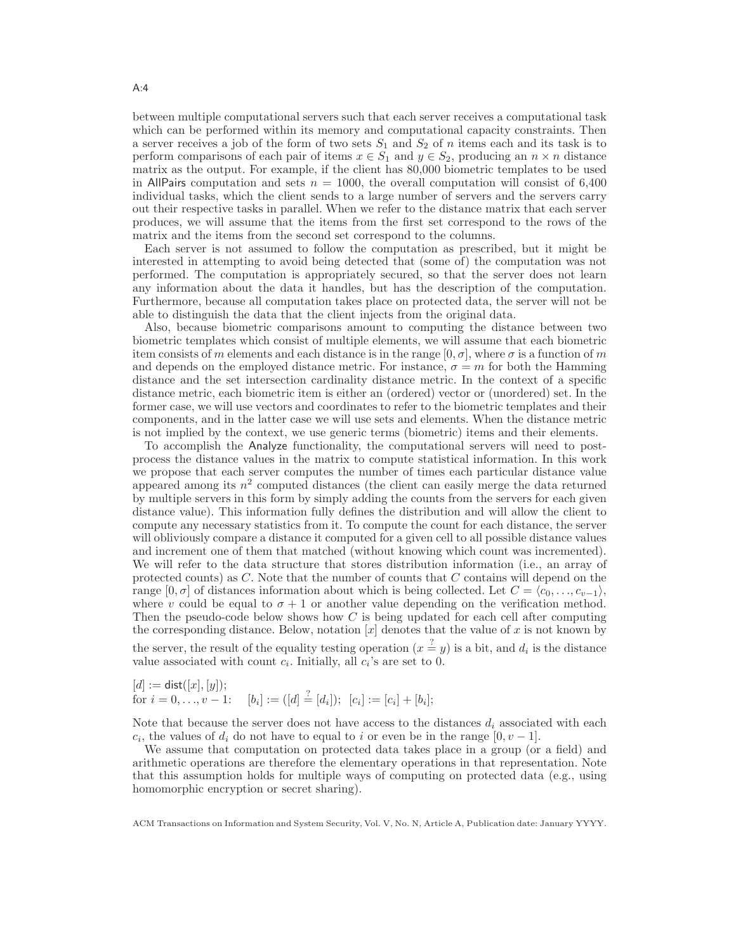between multiple computational servers such that each server receives a computational task which can be performed within its memory and computational capacity constraints. Then a server receives a job of the form of two sets  $S_1$  and  $S_2$  of n items each and its task is to perform comparisons of each pair of items  $x \in S_1$  and  $y \in S_2$ , producing an  $n \times n$  distance matrix as the output. For example, if the client has 80,000 biometric templates to be used in AllPairs computation and sets  $n = 1000$ , the overall computation will consist of 6,400 individual tasks, which the client sends to a large number of servers and the servers carry out their respective tasks in parallel. When we refer to the distance matrix that each server produces, we will assume that the items from the first set correspond to the rows of the matrix and the items from the second set correspond to the columns.

Each server is not assumed to follow the computation as prescribed, but it might be interested in attempting to avoid being detected that (some of) the computation was not performed. The computation is appropriately secured, so that the server does not learn any information about the data it handles, but has the description of the computation. Furthermore, because all computation takes place on protected data, the server will not be able to distinguish the data that the client injects from the original data.

Also, because biometric comparisons amount to computing the distance between two biometric templates which consist of multiple elements, we will assume that each biometric item consists of m elements and each distance is in the range  $[0, \sigma]$ , where  $\sigma$  is a function of m and depends on the employed distance metric. For instance,  $\sigma = m$  for both the Hamming distance and the set intersection cardinality distance metric. In the context of a specific distance metric, each biometric item is either an (ordered) vector or (unordered) set. In the former case, we will use vectors and coordinates to refer to the biometric templates and their components, and in the latter case we will use sets and elements. When the distance metric is not implied by the context, we use generic terms (biometric) items and their elements.

To accomplish the Analyze functionality, the computational servers will need to postprocess the distance values in the matrix to compute statistical information. In this work we propose that each server computes the number of times each particular distance value appeared among its  $n^2$  computed distances (the client can easily merge the data returned by multiple servers in this form by simply adding the counts from the servers for each given distance value). This information fully defines the distribution and will allow the client to compute any necessary statistics from it. To compute the count for each distance, the server will obliviously compare a distance it computed for a given cell to all possible distance values and increment one of them that matched (without knowing which count was incremented). We will refer to the data structure that stores distribution information (i.e., an array of protected counts) as C. Note that the number of counts that C contains will depend on the range  $[0, \sigma]$  of distances information about which is being collected. Let  $C = \langle c_0, \ldots, c_{v-1} \rangle$ , where v could be equal to  $\sigma + 1$  or another value depending on the verification method. Then the pseudo-code below shows how C is being updated for each cell after computing the corresponding distance. Below, notation  $[x]$  denotes that the value of x is not known by

the server, the result of the equality testing operation  $(x - y)$  is a bit, and  $d_i$  is the distance value associated with count  $c_i$ . Initially, all  $c_i$ 's are set to 0.

$$
[d] := \text{dist}([x], [y]);
$$
  
for  $i = 0, ..., v - 1$ :  $[b_i] := ([d] \stackrel{?}{=} [d_i])$ ;  $[c_i] := [c_i] + [b_i]$ ;

Note that because the server does not have access to the distances  $d_i$  associated with each  $c_i$ , the values of  $d_i$  do not have to equal to i or even be in the range  $[0, v-1]$ .

We assume that computation on protected data takes place in a group (or a field) and arithmetic operations are therefore the elementary operations in that representation. Note that this assumption holds for multiple ways of computing on protected data (e.g., using homomorphic encryption or secret sharing).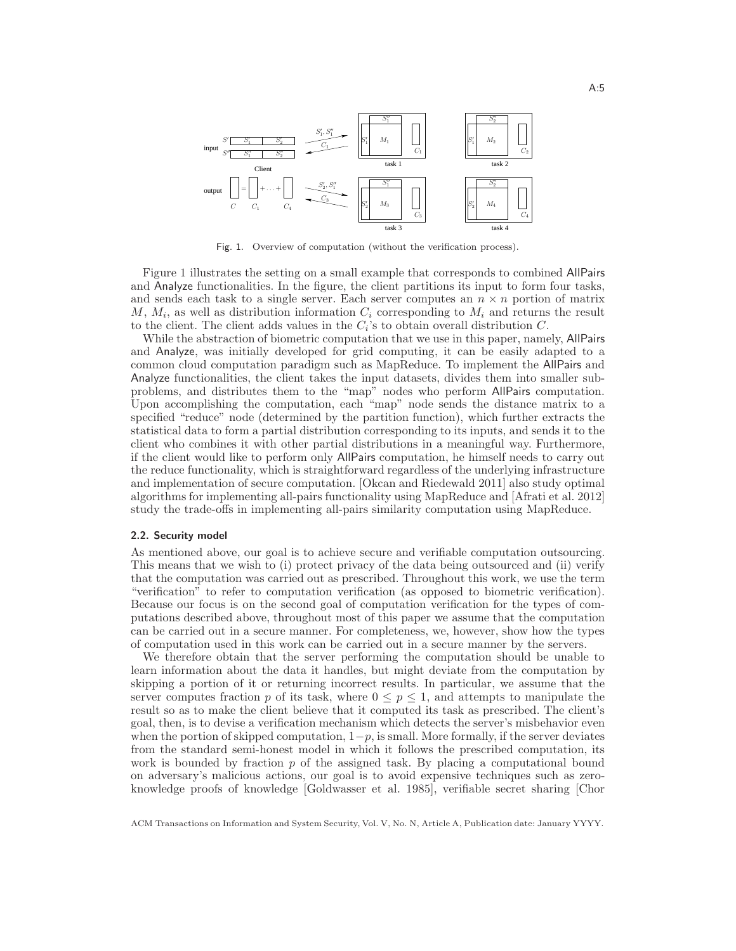

Fig. 1. Overview of computation (without the verification process).

Figure 1 illustrates the setting on a small example that corresponds to combined AllPairs and Analyze functionalities. In the figure, the client partitions its input to form four tasks, and sends each task to a single server. Each server computes an  $n \times n$  portion of matrix  $M, M_i$ , as well as distribution information  $C_i$  corresponding to  $M_i$  and returns the result to the client. The client adds values in the  $C_i$ 's to obtain overall distribution C.

While the abstraction of biometric computation that we use in this paper, namely, AllPairs and Analyze, was initially developed for grid computing, it can be easily adapted to a common cloud computation paradigm such as MapReduce. To implement the AllPairs and Analyze functionalities, the client takes the input datasets, divides them into smaller subproblems, and distributes them to the "map" nodes who perform AllPairs computation. Upon accomplishing the computation, each "map" node sends the distance matrix to a specified "reduce" node (determined by the partition function), which further extracts the statistical data to form a partial distribution corresponding to its inputs, and sends it to the client who combines it with other partial distributions in a meaningful way. Furthermore, if the client would like to perform only AllPairs computation, he himself needs to carry out the reduce functionality, which is straightforward regardless of the underlying infrastructure and implementation of secure computation. [Okcan and Riedewald 2011] also study optimal algorithms for implementing all-pairs functionality using MapReduce and [Afrati et al. 2012] study the trade-offs in implementing all-pairs similarity computation using MapReduce.

## 2.2. Security model

As mentioned above, our goal is to achieve secure and verifiable computation outsourcing. This means that we wish to (i) protect privacy of the data being outsourced and (ii) verify that the computation was carried out as prescribed. Throughout this work, we use the term "verification" to refer to computation verification (as opposed to biometric verification). Because our focus is on the second goal of computation verification for the types of computations described above, throughout most of this paper we assume that the computation can be carried out in a secure manner. For completeness, we, however, show how the types of computation used in this work can be carried out in a secure manner by the servers.

We therefore obtain that the server performing the computation should be unable to learn information about the data it handles, but might deviate from the computation by skipping a portion of it or returning incorrect results. In particular, we assume that the server computes fraction p of its task, where  $0 \le p \le 1$ , and attempts to manipulate the result so as to make the client believe that it computed its task as prescribed. The client's goal, then, is to devise a verification mechanism which detects the server's misbehavior even when the portion of skipped computation,  $1-p$ , is small. More formally, if the server deviates from the standard semi-honest model in which it follows the prescribed computation, its work is bounded by fraction  $p$  of the assigned task. By placing a computational bound on adversary's malicious actions, our goal is to avoid expensive techniques such as zeroknowledge proofs of knowledge [Goldwasser et al. 1985], verifiable secret sharing [Chor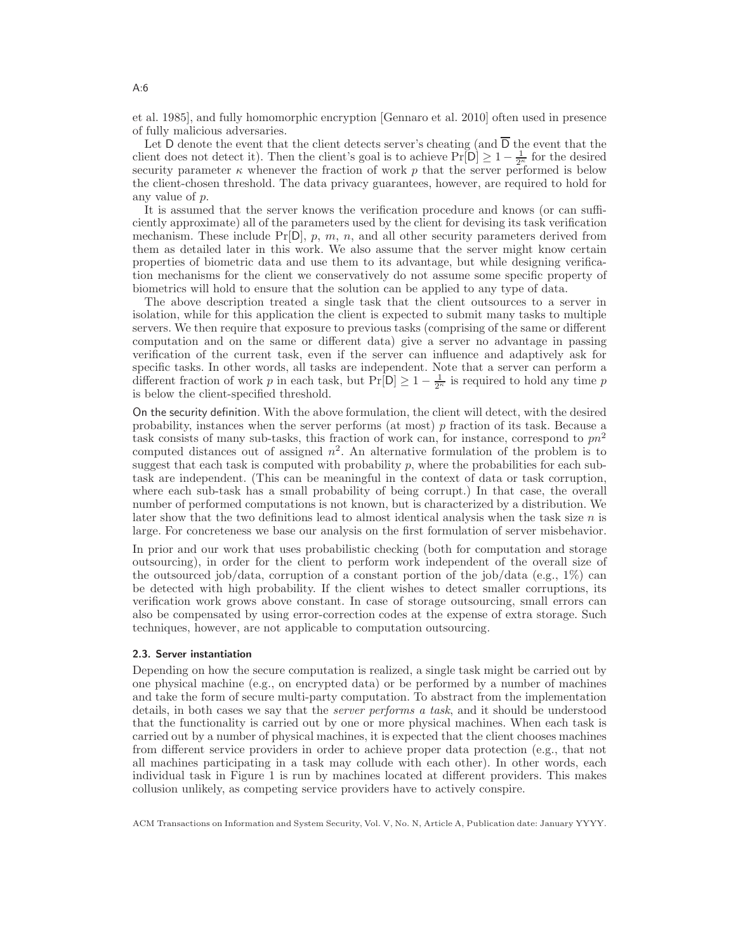et al. 1985], and fully homomorphic encryption [Gennaro et al. 2010] often used in presence of fully malicious adversaries.

Let D denote the event that the client detects server's cheating (and  $\overline{D}$  the event that the client does not detect it). Then the client's goal is to achieve  $Pr[D] \ge 1 - \frac{1}{2\kappa}$  for the desired security parameter  $\kappa$  whenever the fraction of work p that the server performed is below the client-chosen threshold. The data privacy guarantees, however, are required to hold for any value of p.

It is assumed that the server knows the verification procedure and knows (or can sufficiently approximate) all of the parameters used by the client for devising its task verification mechanism. These include  $Pr[D, p, m, n,$  and all other security parameters derived from them as detailed later in this work. We also assume that the server might know certain properties of biometric data and use them to its advantage, but while designing verification mechanisms for the client we conservatively do not assume some specific property of biometrics will hold to ensure that the solution can be applied to any type of data.

The above description treated a single task that the client outsources to a server in isolation, while for this application the client is expected to submit many tasks to multiple servers. We then require that exposure to previous tasks (comprising of the same or different computation and on the same or different data) give a server no advantage in passing verification of the current task, even if the server can influence and adaptively ask for specific tasks. In other words, all tasks are independent. Note that a server can perform a different fraction of work p in each task, but  $Pr[D] \ge 1 - \frac{1}{2^{\kappa}}$  is required to hold any time p is below the client-specified threshold.

On the security definition. With the above formulation, the client will detect, with the desired probability, instances when the server performs (at most)  $p$  fraction of its task. Because a task consists of many sub-tasks, this fraction of work can, for instance, correspond to  $pn^2$ computed distances out of assigned  $n^2$ . An alternative formulation of the problem is to suggest that each task is computed with probability  $p$ , where the probabilities for each subtask are independent. (This can be meaningful in the context of data or task corruption, where each sub-task has a small probability of being corrupt.) In that case, the overall number of performed computations is not known, but is characterized by a distribution. We later show that the two definitions lead to almost identical analysis when the task size  $n$  is large. For concreteness we base our analysis on the first formulation of server misbehavior.

In prior and our work that uses probabilistic checking (both for computation and storage outsourcing), in order for the client to perform work independent of the overall size of the outsourced job/data, corruption of a constant portion of the job/data (e.g.,  $1\%$ ) can be detected with high probability. If the client wishes to detect smaller corruptions, its verification work grows above constant. In case of storage outsourcing, small errors can also be compensated by using error-correction codes at the expense of extra storage. Such techniques, however, are not applicable to computation outsourcing.

## 2.3. Server instantiation

Depending on how the secure computation is realized, a single task might be carried out by one physical machine (e.g., on encrypted data) or be performed by a number of machines and take the form of secure multi-party computation. To abstract from the implementation details, in both cases we say that the server performs a task, and it should be understood that the functionality is carried out by one or more physical machines. When each task is carried out by a number of physical machines, it is expected that the client chooses machines from different service providers in order to achieve proper data protection (e.g., that not all machines participating in a task may collude with each other). In other words, each individual task in Figure 1 is run by machines located at different providers. This makes collusion unlikely, as competing service providers have to actively conspire.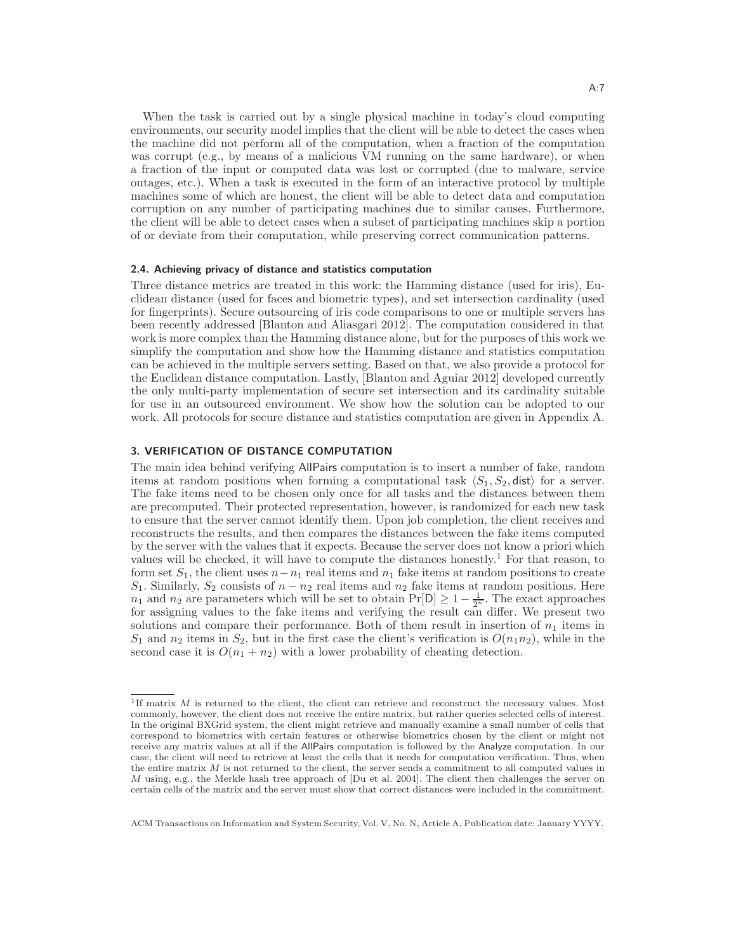When the task is carried out by a single physical machine in today's cloud computing environments, our security model implies that the client will be able to detect the cases when the machine did not perform all of the computation, when a fraction of the computation was corrupt (e.g., by means of a malicious VM running on the same hardware), or when a fraction of the input or computed data was lost or corrupted (due to malware, service outages, etc.). When a task is executed in the form of an interactive protocol by multiple machines some of which are honest, the client will be able to detect data and computation corruption on any number of participating machines due to similar causes. Furthermore, the client will be able to detect cases when a subset of participating machines skip a portion of or deviate from their computation, while preserving correct communication patterns.

## 2.4. Achieving privacy of distance and statistics computation

Three distance metrics are treated in this work: the Hamming distance (used for iris), Euclidean distance (used for faces and biometric types), and set intersection cardinality (used for fingerprints). Secure outsourcing of iris code comparisons to one or multiple servers has been recently addressed [Blanton and Aliasgari 2012]. The computation considered in that work is more complex than the Hamming distance alone, but for the purposes of this work we simplify the computation and show how the Hamming distance and statistics computation can be achieved in the multiple servers setting. Based on that, we also provide a protocol for the Euclidean distance computation. Lastly, [Blanton and Aguiar 2012] developed currently the only multi-party implementation of secure set intersection and its cardinality suitable for use in an outsourced environment. We show how the solution can be adopted to our work. All protocols for secure distance and statistics computation are given in Appendix A.

## 3. VERIFICATION OF DISTANCE COMPUTATION

The main idea behind verifying AllPairs computation is to insert a number of fake, random items at random positions when forming a computational task  $\langle S_1, S_2, \text{dist} \rangle$  for a server. The fake items need to be chosen only once for all tasks and the distances between them are precomputed. Their protected representation, however, is randomized for each new task to ensure that the server cannot identify them. Upon job completion, the client receives and reconstructs the results, and then compares the distances between the fake items computed by the server with the values that it expects. Because the server does not know a priori which values will be checked, it will have to compute the distances honestly.<sup>1</sup> For that reason, to form set  $S_1$ , the client uses  $n-n_1$  real items and  $n_1$  fake items at random positions to create S<sub>1</sub>. Similarly, S<sub>2</sub> consists of  $n - n_2$  real items and  $n_2$  fake items at random positions. Here  $n_1$  and  $n_2$  are parameters which will be set to obtain  $Pr[D] \ge 1 - \frac{1}{2^k}$ . The exact approaches for assigning values to the fake items and verifying the result can differ. We present two solutions and compare their performance. Both of them result in insertion of  $n_1$  items in  $S_1$  and  $n_2$  items in  $S_2$ , but in the first case the client's verification is  $O(n_1n_2)$ , while in the second case it is  $O(n_1 + n_2)$  with a lower probability of cheating detection.

<sup>&</sup>lt;sup>1</sup>If matrix M is returned to the client, the client can retrieve and reconstruct the necessary values. Most commonly, however, the client does not receive the entire matrix, but rather queries selected cells of interest. In the original BXGrid system, the client might retrieve and manually examine a small number of cells that correspond to biometrics with certain features or otherwise biometrics chosen by the client or might not receive any matrix values at all if the AllPairs computation is followed by the Analyze computation. In our case, the client will need to retrieve at least the cells that it needs for computation verification. Thus, when the entire matrix M is not returned to the client, the server sends a commitment to all computed values in M using, e.g., the Merkle hash tree approach of  $[Du \text{ et al. } 2004]$ . The client then challenges the server on certain cells of the matrix and the server must show that correct distances were included in the commitment.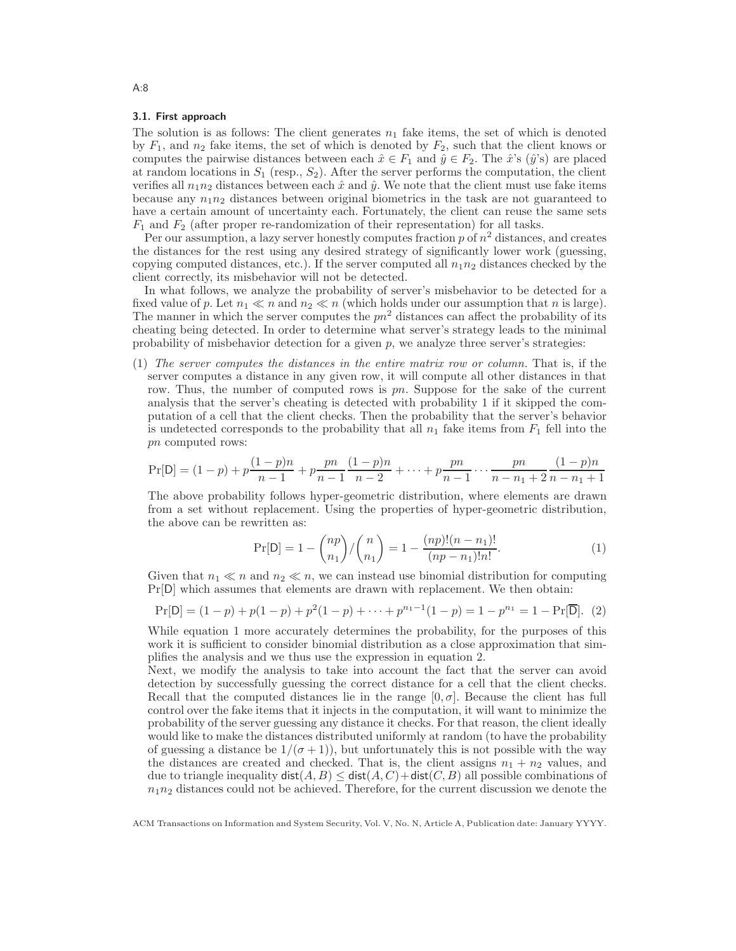### 3.1. First approach

The solution is as follows: The client generates  $n_1$  fake items, the set of which is denoted by  $F_1$ , and  $n_2$  fake items, the set of which is denoted by  $F_2$ , such that the client knows or computes the pairwise distances between each  $\hat{x} \in F_1$  and  $\hat{y} \in F_2$ . The  $\hat{x}$ 's  $(\hat{y})$ 's are placed at random locations in  $S_1$  (resp.,  $S_2$ ). After the server performs the computation, the client verifies all  $n_1n_2$  distances between each  $\hat{x}$  and  $\hat{y}$ . We note that the client must use fake items because any  $n_1n_2$  distances between original biometrics in the task are not guaranteed to have a certain amount of uncertainty each. Fortunately, the client can reuse the same sets  $F_1$  and  $F_2$  (after proper re-randomization of their representation) for all tasks.

Per our assumption, a lazy server honestly computes fraction  $p$  of  $n^2$  distances, and creates the distances for the rest using any desired strategy of significantly lower work (guessing, copying computed distances, etc.). If the server computed all  $n_1n_2$  distances checked by the client correctly, its misbehavior will not be detected.

In what follows, we analyze the probability of server's misbehavior to be detected for a fixed value of p. Let  $n_1 \ll n$  and  $n_2 \ll n$  (which holds under our assumption that n is large). The manner in which the server computes the  $pn^2$  distances can affect the probability of its cheating being detected. In order to determine what server's strategy leads to the minimal probability of misbehavior detection for a given  $p$ , we analyze three server's strategies:

(1) The server computes the distances in the entire matrix row or column. That is, if the server computes a distance in any given row, it will compute all other distances in that row. Thus, the number of computed rows is pn. Suppose for the sake of the current analysis that the server's cheating is detected with probability 1 if it skipped the computation of a cell that the client checks. Then the probability that the server's behavior is undetected corresponds to the probability that all  $n_1$  fake items from  $F_1$  fell into the pn computed rows:

$$
\Pr[D] = (1-p) + p \frac{(1-p)n}{n-1} + p \frac{pn}{n-1} \frac{(1-p)n}{n-2} + \dots + p \frac{pn}{n-1} \dots \frac{pn}{n-n_1+2} \frac{(1-p)n}{n-n_1+1}
$$

The above probability follows hyper-geometric distribution, where elements are drawn from a set without replacement. Using the properties of hyper-geometric distribution, the above can be rewritten as:

$$
\Pr[D] = 1 - \binom{np}{n_1} / \binom{n}{n_1} = 1 - \frac{(np)!(n - n_1)!}{(np - n_1)!n!}.
$$
 (1)

Given that  $n_1 \ll n$  and  $n_2 \ll n$ , we can instead use binomial distribution for computing Pr[D] which assumes that elements are drawn with replacement. We then obtain:

$$
Pr[D] = (1 - p) + p(1 - p) + p^{2}(1 - p) + \dots + p^{n_1 - 1}(1 - p) = 1 - p^{n_1} = 1 - Pr[\overline{D}]. (2)
$$

While equation 1 more accurately determines the probability, for the purposes of this work it is sufficient to consider binomial distribution as a close approximation that simplifies the analysis and we thus use the expression in equation 2.

Next, we modify the analysis to take into account the fact that the server can avoid detection by successfully guessing the correct distance for a cell that the client checks. Recall that the computed distances lie in the range  $[0, \sigma]$ . Because the client has full control over the fake items that it injects in the computation, it will want to minimize the probability of the server guessing any distance it checks. For that reason, the client ideally would like to make the distances distributed uniformly at random (to have the probability of guessing a distance be  $1/(\sigma+1)$ , but unfortunately this is not possible with the way the distances are created and checked. That is, the client assigns  $n_1 + n_2$  values, and due to triangle inequality  $dist(A, B) \leq dist(A, C) + dist(C, B)$  all possible combinations of  $n_1n_2$  distances could not be achieved. Therefore, for the current discussion we denote the

ACM Transactions on Information and System Security, Vol. V, No. N, Article A, Publication date: January YYYY.

#### A:8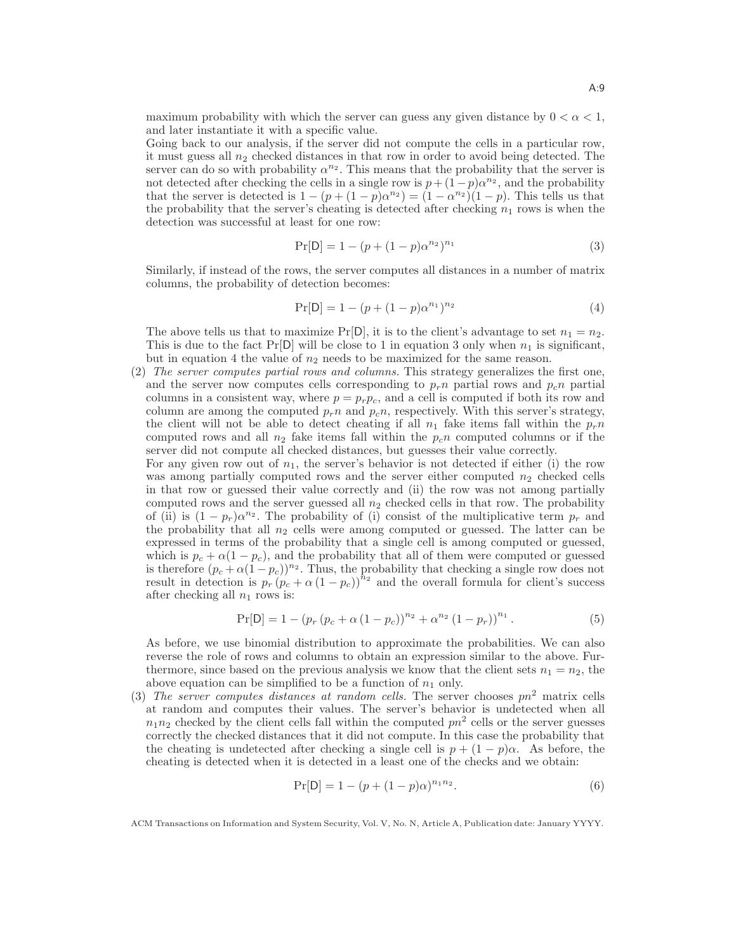maximum probability with which the server can guess any given distance by  $0 < \alpha < 1$ , and later instantiate it with a specific value.

Going back to our analysis, if the server did not compute the cells in a particular row, it must guess all  $n_2$  checked distances in that row in order to avoid being detected. The server can do so with probability  $\alpha^{n_2}$ . This means that the probability that the server is not detected after checking the cells in a single row is  $p + (1-p)\alpha^{n_2}$ , and the probability that the server is detected is  $1 - (p + (1 - p)\alpha^{n_2}) = (1 - \alpha^{n_2})(1 - p)$ . This tells us that the probability that the server's cheating is detected after checking  $n_1$  rows is when the detection was successful at least for one row:

$$
Pr[D] = 1 - (p + (1 - p)\alpha^{n_2})^{n_1}
$$
\n(3)

Similarly, if instead of the rows, the server computes all distances in a number of matrix columns, the probability of detection becomes:

$$
Pr[D] = 1 - (p + (1 - p)\alpha^{n_1})^{n_2}
$$
\n(4)

The above tells us that to maximize  $Pr[D]$ , it is to the client's advantage to set  $n_1 = n_2$ . This is due to the fact  $Pr[D]$  will be close to 1 in equation 3 only when  $n_1$  is significant, but in equation 4 the value of  $n_2$  needs to be maximized for the same reason.

(2) The server computes partial rows and columns. This strategy generalizes the first one, and the server now computes cells corresponding to  $p_r n$  partial rows and  $p_c n$  partial columns in a consistent way, where  $p = p_r p_c$ , and a cell is computed if both its row and column are among the computed  $p_r n$  and  $p_c n$ , respectively. With this server's strategy, the client will not be able to detect cheating if all  $n_1$  fake items fall within the  $p_r n$ computed rows and all  $n_2$  fake items fall within the  $p_c n$  computed columns or if the server did not compute all checked distances, but guesses their value correctly.

For any given row out of  $n_1$ , the server's behavior is not detected if either (i) the row was among partially computed rows and the server either computed  $n_2$  checked cells in that row or guessed their value correctly and (ii) the row was not among partially computed rows and the server guessed all  $n_2$  checked cells in that row. The probability of (ii) is  $(1 - p_r)\alpha^{n_2}$ . The probability of (i) consist of the multiplicative term  $p_r$  and the probability that all  $n_2$  cells were among computed or guessed. The latter can be expressed in terms of the probability that a single cell is among computed or guessed, which is  $p_c + \alpha(1 - p_c)$ , and the probability that all of them were computed or guessed is therefore  $(p_c + \alpha(1 - p_c))^{n_2}$ . Thus, the probability that checking a single row does not result in detection is  $p_r (p_c + \alpha(1 - p_c))^{n_2}$  and the overall formula for client's success after checking all  $n_1$  rows is:

$$
Pr[D] = 1 - (p_r (p_c + \alpha (1 - p_c))^{n_2} + \alpha^{n_2} (1 - p_r))^{n_1}.
$$
 (5)

As before, we use binomial distribution to approximate the probabilities. We can also reverse the role of rows and columns to obtain an expression similar to the above. Furthermore, since based on the previous analysis we know that the client sets  $n_1 = n_2$ , the above equation can be simplified to be a function of  $n_1$  only.

(3) The server computes distances at random cells. The server chooses  $pn^2$  matrix cells at random and computes their values. The server's behavior is undetected when all  $n_1 n_2$  checked by the client cells fall within the computed  $p n^2$  cells or the server guesses correctly the checked distances that it did not compute. In this case the probability that the cheating is undetected after checking a single cell is  $p + (1 - p)\alpha$ . As before, the cheating is detected when it is detected in a least one of the checks and we obtain:

$$
Pr[D] = 1 - (p + (1 - p)\alpha)^{n_1 n_2}.
$$
 (6)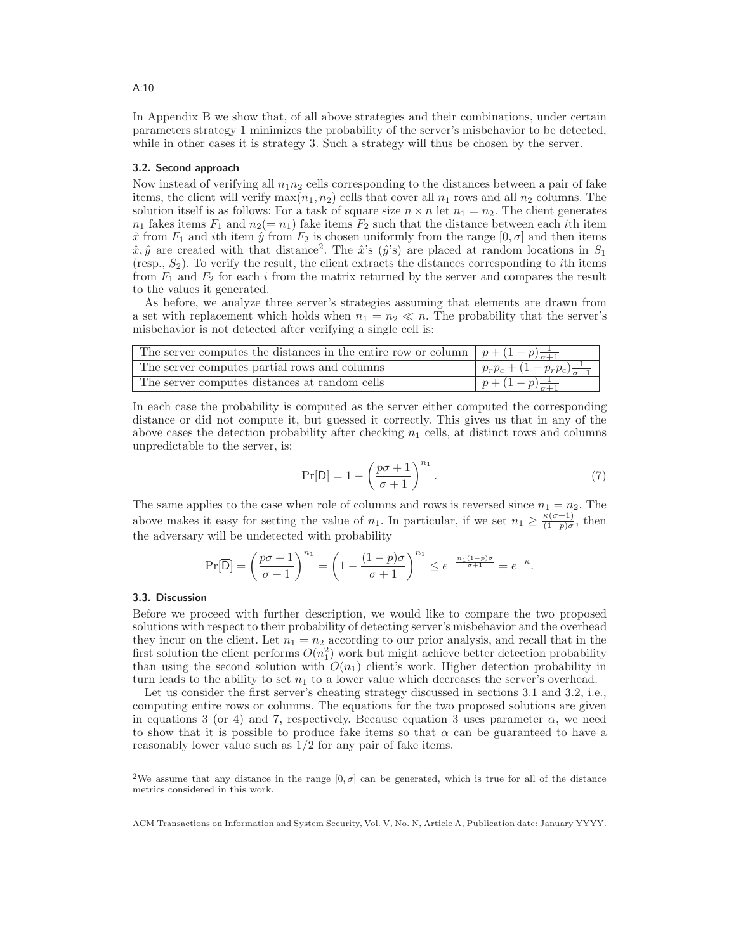In Appendix B we show that, of all above strategies and their combinations, under certain parameters strategy 1 minimizes the probability of the server's misbehavior to be detected, while in other cases it is strategy 3. Such a strategy will thus be chosen by the server.

## 3.2. Second approach

Now instead of verifying all  $n_1n_2$  cells corresponding to the distances between a pair of fake items, the client will verify  $\max(n_1, n_2)$  cells that cover all  $n_1$  rows and all  $n_2$  columns. The solution itself is as follows: For a task of square size  $n \times n$  let  $n_1 = n_2$ . The client generates  $n_1$  fakes items  $F_1$  and  $n_2(= n_1)$  fake items  $F_2$  such that the distance between each *i*th item  $\hat{x}$  from  $F_1$  and ith item  $\hat{y}$  from  $F_2$  is chosen uniformly from the range  $[0, \sigma]$  and then items  $\hat{x}, \hat{y}$  are created with that distance<sup>2</sup>. The  $\hat{x}$ 's  $(\hat{y}$ 's) are placed at random locations in  $S_1$ (resp.,  $S_2$ ). To verify the result, the client extracts the distances corresponding to *i*th items from  $F_1$  and  $F_2$  for each i from the matrix returned by the server and compares the result to the values it generated.

As before, we analyze three server's strategies assuming that elements are drawn from a set with replacement which holds when  $n_1 = n_2 \ll n$ . The probability that the server's misbehavior is not detected after verifying a single cell is:

| The server computes the distances in the entire row or column $\left  p + (1-p) \frac{1}{\sigma+1} \right $ |                                                |
|-------------------------------------------------------------------------------------------------------------|------------------------------------------------|
| The server computes partial rows and columns                                                                | $p_r p_c + (1 - p_r p_c) \frac{1}{\sigma + 1}$ |
| The server computes distances at random cells                                                               | $p + (1-p)\frac{1}{\sigma + 1}$                |

In each case the probability is computed as the server either computed the corresponding distance or did not compute it, but guessed it correctly. This gives us that in any of the above cases the detection probability after checking  $n_1$  cells, at distinct rows and columns unpredictable to the server, is:

$$
\Pr[D] = 1 - \left(\frac{p\sigma + 1}{\sigma + 1}\right)^{n_1}.\tag{7}
$$

The same applies to the case when role of columns and rows is reversed since  $n_1 = n_2$ . The above makes it easy for setting the value of  $n_1$ . In particular, if we set  $n_1 \geq \frac{\kappa(\sigma+1)}{(1-p)\sigma}$ , then the adversary will be undetected with probability

$$
\Pr[\overline{D}] = \left(\frac{p\sigma + 1}{\sigma + 1}\right)^{n_1} = \left(1 - \frac{(1 - p)\sigma}{\sigma + 1}\right)^{n_1} \le e^{-\frac{n_1(1 - p)\sigma}{\sigma + 1}} = e^{-\kappa}.
$$

## 3.3. Discussion

Before we proceed with further description, we would like to compare the two proposed solutions with respect to their probability of detecting server's misbehavior and the overhead they incur on the client. Let  $n_1 = n_2$  according to our prior analysis, and recall that in the first solution the client performs  $O(n_1^2)$  work but might achieve better detection probability than using the second solution with  $O(n_1)$  client's work. Higher detection probability in turn leads to the ability to set  $n_1$  to a lower value which decreases the server's overhead.

Let us consider the first server's cheating strategy discussed in sections 3.1 and 3.2, i.e., computing entire rows or columns. The equations for the two proposed solutions are given in equations 3 (or 4) and 7, respectively. Because equation 3 uses parameter  $\alpha$ , we need to show that it is possible to produce fake items so that  $\alpha$  can be guaranteed to have a reasonably lower value such as 1/2 for any pair of fake items.

<sup>&</sup>lt;sup>2</sup>We assume that any distance in the range  $[0, \sigma]$  can be generated, which is true for all of the distance metrics considered in this work.

ACM Transactions on Information and System Security, Vol. V, No. N, Article A, Publication date: January YYYY.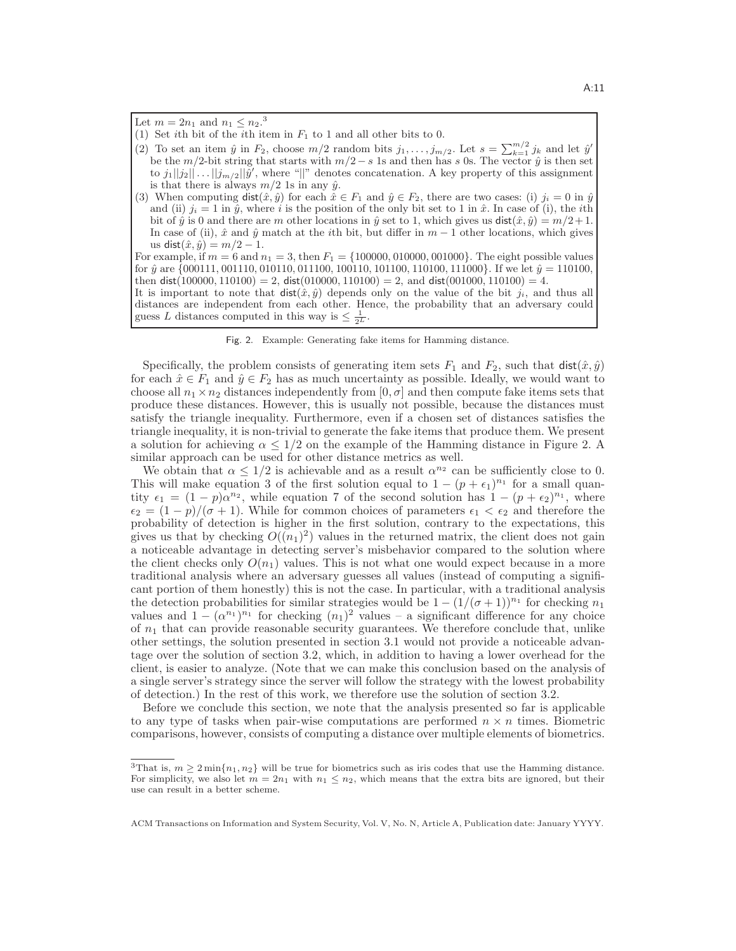- (1) Set ith bit of the ith item in  $F_1$  to 1 and all other bits to 0.
- (2) To set an item  $\hat{y}$  in  $F_2$ , choose  $m/2$  random bits  $j_1, \ldots, j_{m/2}$ . Let  $s = \sum_{k=1}^{m/2} j_k$  and let  $\hat{y}'$ be the m/2-bit string that starts with  $m/2 - s$  1s and then has s 0s. The vector  $\hat{y}$  is then set to  $j_1||j_2|| \ldots ||j_{m/2}||j'$ , where "||" denotes concatenation. A key property of this assignment is that there is always  $m/2$  1s in any  $\hat{y}$ . (3) When computing dist $(\hat{x}, \hat{y})$  for each  $\hat{x} \in F_1$  and  $\hat{y} \in F_2$ , there are two cases: (i)  $j_i = 0$  in  $\hat{y}$ and (ii)  $j_i = 1$  in  $\hat{y}$ , where i is the position of the only bit set to 1 in  $\hat{x}$ . In case of (i), the ith bit of  $\hat{y}$  is 0 and there are m other locations in  $\hat{y}$  set to 1, which gives us  $dist(\hat{x}, \hat{y}) = m/2 + 1$ . In case of (ii),  $\hat{x}$  and  $\hat{y}$  match at the *i*th bit, but differ in  $m-1$  other locations, which gives

us dist $(\hat{x}, \hat{y}) = m/2 - 1$ . For example, if  $m = 6$  and  $n_1 = 3$ , then  $F_1 = \{100000, 010000, 001000\}$ . The eight possible values for  $\hat{y}$  are  $\{000111, 001110, 010110, 011100, 100110, 101100, 110100\}$ . If we let  $\hat{y} = 110100$ , then dist(100000, 110100) = 2, dist(010000, 110100) = 2, and dist(001000, 110100) = 4. It is important to note that  $dist(\hat{x}, \hat{y})$  depends only on the value of the bit  $j_i$ , and thus all distances are independent from each other. Hence, the probability that an adversary could guess L distances computed in this way is  $\leq \frac{1}{2^L}$ .

Fig. 2. Example: Generating fake items for Hamming distance.

Specifically, the problem consists of generating item sets  $F_1$  and  $F_2$ , such that  $dist(\hat{x}, \hat{y})$ for each  $\hat{x} \in F_1$  and  $\hat{y} \in F_2$  has as much uncertainty as possible. Ideally, we would want to choose all  $n_1 \times n_2$  distances independently from  $[0, \sigma]$  and then compute fake items sets that produce these distances. However, this is usually not possible, because the distances must satisfy the triangle inequality. Furthermore, even if a chosen set of distances satisfies the triangle inequality, it is non-trivial to generate the fake items that produce them. We present a solution for achieving  $\alpha \leq 1/2$  on the example of the Hamming distance in Figure 2. A similar approach can be used for other distance metrics as well.

We obtain that  $\alpha \leq 1/2$  is achievable and as a result  $\alpha^{n_2}$  can be sufficiently close to 0. This will make equation 3 of the first solution equal to  $1 - (p + \epsilon_1)^{n_1}$  for a small quantity  $\epsilon_1 = (1-p)\alpha^{n_2}$ , while equation 7 of the second solution has  $1-(p+\epsilon_2)^{n_1}$ , where  $\epsilon_2 = (1-p)/(\sigma+1)$ . While for common choices of parameters  $\epsilon_1 < \epsilon_2$  and therefore the probability of detection is higher in the first solution, contrary to the expectations, this gives us that by checking  $O((n_1)^2)$  values in the returned matrix, the client does not gain a noticeable advantage in detecting server's misbehavior compared to the solution where the client checks only  $O(n_1)$  values. This is not what one would expect because in a more traditional analysis where an adversary guesses all values (instead of computing a significant portion of them honestly) this is not the case. In particular, with a traditional analysis the detection probabilities for similar strategies would be  $1 - (1/(\sigma + 1))^{n_1}$  for checking  $n_1$ values and  $1 - (\alpha^{n_1})^{n_1}$  for checking  $(n_1)^2$  values – a significant difference for any choice of  $n_1$  that can provide reasonable security guarantees. We therefore conclude that, unlike other settings, the solution presented in section 3.1 would not provide a noticeable advantage over the solution of section 3.2, which, in addition to having a lower overhead for the client, is easier to analyze. (Note that we can make this conclusion based on the analysis of a single server's strategy since the server will follow the strategy with the lowest probability of detection.) In the rest of this work, we therefore use the solution of section 3.2.

Before we conclude this section, we note that the analysis presented so far is applicable to any type of tasks when pair-wise computations are performed  $n \times n$  times. Biometric comparisons, however, consists of computing a distance over multiple elements of biometrics.

Let  $m = 2n_1$  and  $n_1 \leq n_2$ .<sup>3</sup>

<sup>&</sup>lt;sup>3</sup>That is,  $m \ge 2 \min\{n_1, n_2\}$  will be true for biometrics such as iris codes that use the Hamming distance. For simplicity, we also let  $m = 2n_1$  with  $n_1 \leq n_2$ , which means that the extra bits are ignored, but their use can result in a better scheme.

ACM Transactions on Information and System Security, Vol. V, No. N, Article A, Publication date: January YYYY.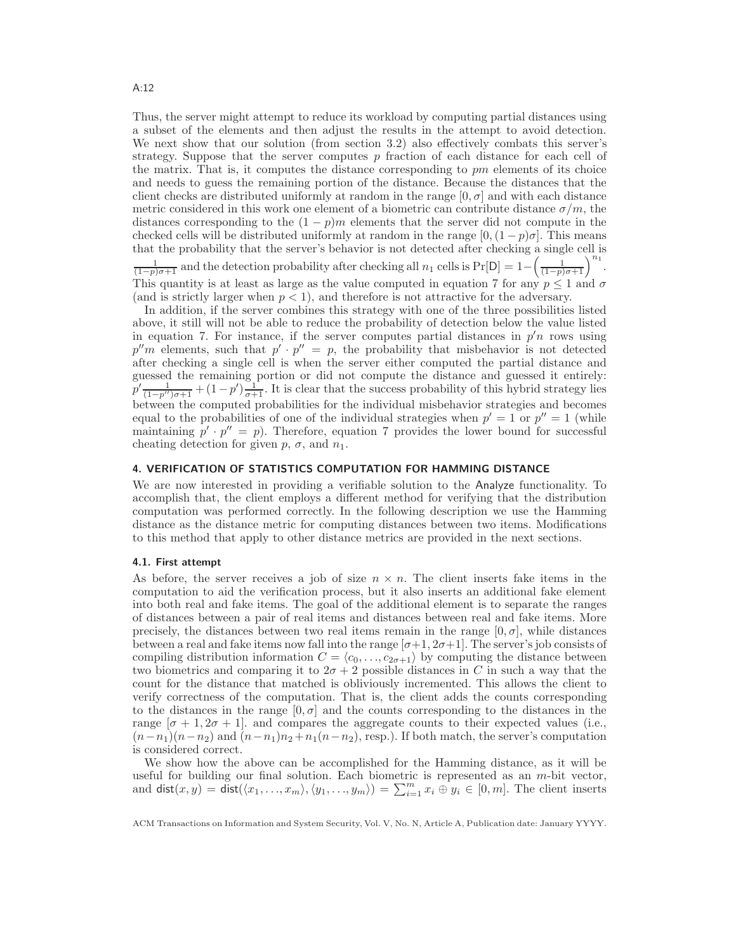Thus, the server might attempt to reduce its workload by computing partial distances using a subset of the elements and then adjust the results in the attempt to avoid detection. We next show that our solution (from section 3.2) also effectively combats this server's strategy. Suppose that the server computes  $p$  fraction of each distance for each cell of the matrix. That is, it computes the distance corresponding to  $pm$  elements of its choice and needs to guess the remaining portion of the distance. Because the distances that the client checks are distributed uniformly at random in the range  $[0, \sigma]$  and with each distance metric considered in this work one element of a biometric can contribute distance  $\sigma/m$ , the distances corresponding to the  $(1 - p)m$  elements that the server did not compute in the checked cells will be distributed uniformly at random in the range  $[0,(1-p)\sigma]$ . This means that the probability that the server's behavior is not detected after checking a single cell is  $\frac{1}{(1-p)\sigma+1}$  and the detection probability after checking all  $n_1$  cells is  $Pr[D] = 1 - \left(\frac{1}{(1-p)\sigma+1}\right)^{n_1}$ .

This quantity is at least as large as the value computed in equation 7 for any  $p \leq 1$  and  $\sigma$ (and is strictly larger when  $p < 1$ ), and therefore is not attractive for the adversary.

In addition, if the server combines this strategy with one of the three possibilities listed above, it still will not be able to reduce the probability of detection below the value listed in equation 7. For instance, if the server computes partial distances in  $p'n$  rows using  $p''m$  elements, such that  $p' \cdot p'' = p$ , the probability that misbehavior is not detected after checking a single cell is when the server either computed the partial distance and guessed the remaining portion or did not compute the distance and guessed it entirely:  $\tilde{p}'\frac{1}{(1-p'')\sigma+1}+(1-p')\frac{1}{\sigma+1}$ . It is clear that the success probability of this hybrid strategy lies between the computed probabilities for the individual misbehavior strategies and becomes equal to the probabilities of one of the individual strategies when  $p' = 1$  or  $p'' = 1$  (while maintaining  $p' \cdot p'' = p$ ). Therefore, equation 7 provides the lower bound for successful cheating detection for given p,  $\sigma$ , and  $n_1$ .

## 4. VERIFICATION OF STATISTICS COMPUTATION FOR HAMMING DISTANCE

We are now interested in providing a verifiable solution to the Analyze functionality. To accomplish that, the client employs a different method for verifying that the distribution computation was performed correctly. In the following description we use the Hamming distance as the distance metric for computing distances between two items. Modifications to this method that apply to other distance metrics are provided in the next sections.

### 4.1. First attempt

As before, the server receives a job of size  $n \times n$ . The client inserts fake items in the computation to aid the verification process, but it also inserts an additional fake element into both real and fake items. The goal of the additional element is to separate the ranges of distances between a pair of real items and distances between real and fake items. More precisely, the distances between two real items remain in the range  $[0, \sigma]$ , while distances between a real and fake items now fall into the range  $[\sigma+1, 2\sigma+1]$ . The server's job consists of compiling distribution information  $C = \langle c_0, \ldots, c_{2\sigma+1} \rangle$  by computing the distance between two biometrics and comparing it to  $2\sigma + 2$  possible distances in C in such a way that the count for the distance that matched is obliviously incremented. This allows the client to verify correctness of the computation. That is, the client adds the counts corresponding to the distances in the range  $[0, \sigma]$  and the counts corresponding to the distances in the range  $[\sigma + 1, 2\sigma + 1]$ . and compares the aggregate counts to their expected values (i.e.,  $(n-n_1)(n-n_2)$  and  $(n-n_1)n_2 + n_1(n-n_2)$ , resp.). If both match, the server's computation is considered correct.

We show how the above can be accomplished for the Hamming distance, as it will be useful for building our final solution. Each biometric is represented as an  $m$ -bit vector, and  $dist(x, y) = dist(\langle x_1, \ldots, x_m \rangle, \langle y_1, \ldots, y_m \rangle) = \sum_{i=1}^m x_i \oplus y_i \in [0, m]$ . The client inserts

ACM Transactions on Information and System Security, Vol. V, No. N, Article A, Publication date: January YYYY.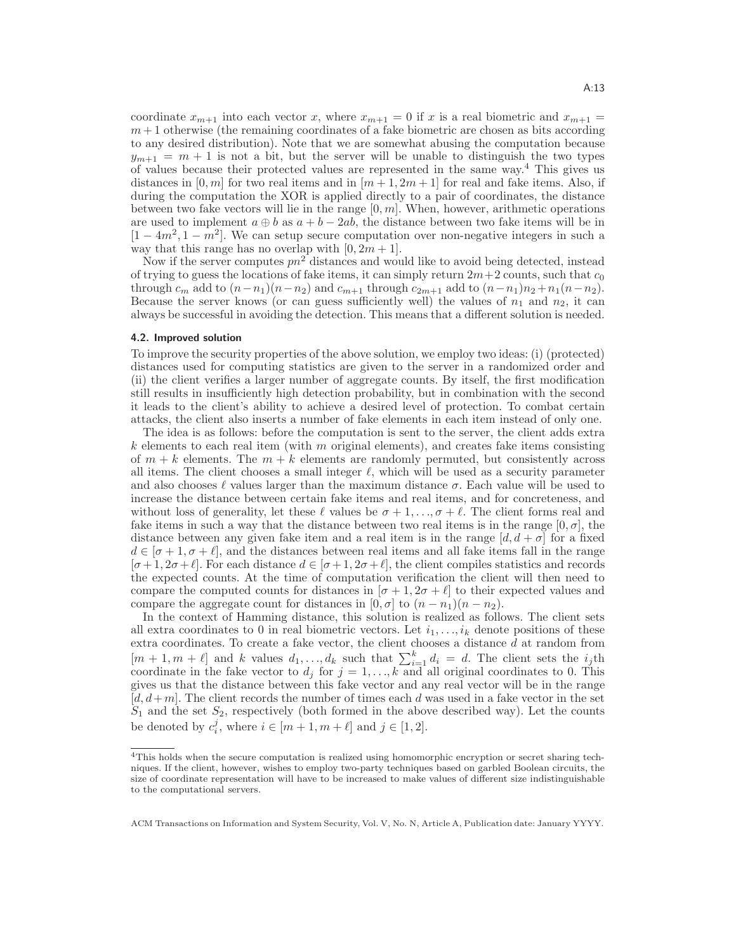coordinate  $x_{m+1}$  into each vector x, where  $x_{m+1} = 0$  if x is a real biometric and  $x_{m+1} =$  $m + 1$  otherwise (the remaining coordinates of a fake biometric are chosen as bits according to any desired distribution). Note that we are somewhat abusing the computation because  $y_{m+1} = m + 1$  is not a bit, but the server will be unable to distinguish the two types of values because their protected values are represented in the same way.<sup>4</sup> This gives us distances in  $[0, m]$  for two real items and in  $[m+1, 2m+1]$  for real and fake items. Also, if during the computation the XOR is applied directly to a pair of coordinates, the distance between two fake vectors will lie in the range  $[0, m]$ . When, however, arithmetic operations are used to implement  $a \oplus b$  as  $a + b - 2ab$ , the distance between two fake items will be in  $[1 - 4m^2, 1 - m^2]$ . We can setup secure computation over non-negative integers in such a way that this range has no overlap with  $[0, 2m + 1]$ .

Now if the server computes  $p n^2$  distances and would like to avoid being detected, instead of trying to guess the locations of fake items, it can simply return  $2m+2$  counts, such that  $c_0$ through  $c_m$  add to  $(n-n_1)(n-n_2)$  and  $c_{m+1}$  through  $c_{2m+1}$  add to  $(n-n_1)n_2 + n_1(n-n_2)$ . Because the server knows (or can guess sufficiently well) the values of  $n_1$  and  $n_2$ , it can always be successful in avoiding the detection. This means that a different solution is needed.

### 4.2. Improved solution

To improve the security properties of the above solution, we employ two ideas: (i) (protected) distances used for computing statistics are given to the server in a randomized order and (ii) the client verifies a larger number of aggregate counts. By itself, the first modification still results in insufficiently high detection probability, but in combination with the second it leads to the client's ability to achieve a desired level of protection. To combat certain attacks, the client also inserts a number of fake elements in each item instead of only one.

The idea is as follows: before the computation is sent to the server, the client adds extra  $k$  elements to each real item (with m original elements), and creates fake items consisting of  $m + k$  elements. The  $m + k$  elements are randomly permuted, but consistently across all items. The client chooses a small integer  $\ell$ , which will be used as a security parameter and also chooses  $\ell$  values larger than the maximum distance  $\sigma$ . Each value will be used to increase the distance between certain fake items and real items, and for concreteness, and without loss of generality, let these  $\ell$  values be  $\sigma + 1, \ldots, \sigma + \ell$ . The client forms real and fake items in such a way that the distance between two real items is in the range  $[0, \sigma]$ , the distance between any given fake item and a real item is in the range  $[d, d + \sigma]$  for a fixed  $d \in [\sigma+1, \sigma+\ell]$ , and the distances between real items and all fake items fall in the range  $[\sigma+1, 2\sigma+\ell]$ . For each distance  $d \in [\sigma+1, 2\sigma+\ell]$ , the client compiles statistics and records the expected counts. At the time of computation verification the client will then need to compare the computed counts for distances in  $[\sigma+1, 2\sigma+\ell]$  to their expected values and compare the aggregate count for distances in  $[0, \sigma]$  to  $(n - n_1)(n - n_2)$ .

In the context of Hamming distance, this solution is realized as follows. The client sets all extra coordinates to 0 in real biometric vectors. Let  $i_1, \ldots, i_k$  denote positions of these extra coordinates. To create a fake vector, the client chooses a distance d at random from  $[m+1, m+l]$  and k values  $d_1, \ldots, d_k$  such that  $\sum_{i=1}^k d_i = d$ . The client sets the  $i_j$ th coordinate in the fake vector to  $d_j$  for  $j = 1, ..., k$  and all original coordinates to 0. This gives us that the distance between this fake vector and any real vector will be in the range  $[d, d+m]$ . The client records the number of times each d was used in a fake vector in the set  $S_1$  and the set  $S_2$ , respectively (both formed in the above described way). Let the counts be denoted by  $c_i^j$ , where  $i \in [m+1, m+\ell]$  and  $j \in [1, 2]$ .

<sup>4</sup>This holds when the secure computation is realized using homomorphic encryption or secret sharing techniques. If the client, however, wishes to employ two-party techniques based on garbled Boolean circuits, the size of coordinate representation will have to be increased to make values of different size indistinguishable to the computational servers.

ACM Transactions on Information and System Security, Vol. V, No. N, Article A, Publication date: January YYYY.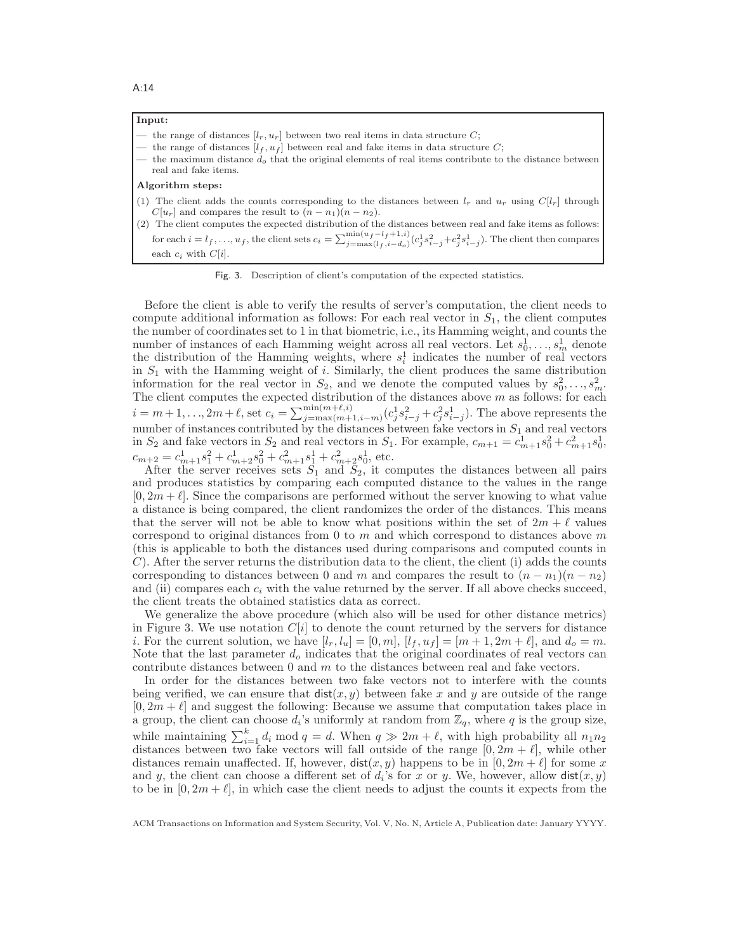#### Input:

- the range of distances  $[l_r, u_r]$  between two real items in data structure C;
- the range of distances  $[l_f, u_f]$  between real and fake items in data structure C;
- the maximum distance  $d<sub>o</sub>$  that the original elements of real items contribute to the distance between real and fake items.

## Algorithm steps:

- (1) The client adds the counts corresponding to the distances between  $l_r$  and  $u_r$  using  $C[l_r]$  through  $C[u_r]$  and compares the result to  $(n - n_1)(n - n_2)$ .
- (2) The client computes the expected distribution of the distances between real and fake items as follows:
- for each  $i = l_f, \ldots, u_f$ , the client sets  $c_i = \sum_{j=\max(l_f,i-d_o)}^{\min(u_f-l_f+1,i)} (c_j^1 s_{i-j}^2 + c_j^2 s_{i-j}^1)$ . The client then compares each  $c_i$  with  $C[i]$ .

Fig. 3. Description of client's computation of the expected statistics.

Before the client is able to verify the results of server's computation, the client needs to compute additional information as follows: For each real vector in  $S_1$ , the client computes the number of coordinates set to 1 in that biometric, i.e., its Hamming weight, and counts the number of instances of each Hamming weight across all real vectors. Let  $s_0^1, \ldots, s_m^1$  denote the distribution of the Hamming weights, where  $s_i^1$  indicates the number of real vectors in  $S_1$  with the Hamming weight of i. Similarly, the client produces the same distribution information for the real vector in  $S_2$ , and we denote the computed values by  $s_0^2, \ldots, s_m^2$ . The client computes the expected distribution of the distances above  $m$  as follows: for each  $i = m+1, \ldots, 2m+\ell$ , set  $c_i = \sum_{j=\max(m+1,i-m)}^{j=\min(m+\ell,i)} (c_j^1 s_{i-j}^2 + c_j^2 s_{i-j}^1)$ . The above represents the number of instances contributed by the distances between fake vectors in  $S_1$  and real vectors in  $S_2$  and fake vectors in  $S_2$  and real vectors in  $S_1$ . For example,  $c_{m+1} = c_{m+1}^1 s_0^2 + c_{m+1}^2 s_0^1$ ,  $c_{m+2} = c_{m+1}^1 s_1^2 + c_{m+2}^1 s_0^2 + c_{m+1}^2 s_1^1 + c_{m+2}^2 s_0^1$ , etc.

After the server receives sets  $S_1$  and  $S_2$ , it computes the distances between all pairs and produces statistics by comparing each computed distance to the values in the range  $[0, 2m + \ell]$ . Since the comparisons are performed without the server knowing to what value a distance is being compared, the client randomizes the order of the distances. This means that the server will not be able to know what positions within the set of  $2m + \ell$  values correspond to original distances from 0 to  $m$  and which correspond to distances above  $m$ (this is applicable to both the distances used during comparisons and computed counts in  $C$ ). After the server returns the distribution data to the client, the client (i) adds the counts corresponding to distances between 0 and m and compares the result to  $(n - n_1)(n - n_2)$ and (ii) compares each  $c_i$  with the value returned by the server. If all above checks succeed, the client treats the obtained statistics data as correct.

We generalize the above procedure (which also will be used for other distance metrics) in Figure 3. We use notation  $C[i]$  to denote the count returned by the servers for distance *i*. For the current solution, we have  $[l_r, l_u] = [0, m]$ ,  $[l_f, u_f] = [m + 1, 2m + \ell]$ , and  $d_o = m$ . Note that the last parameter  $d<sub>o</sub>$  indicates that the original coordinates of real vectors can contribute distances between 0 and m to the distances between real and fake vectors.

In order for the distances between two fake vectors not to interfere with the counts being verified, we can ensure that  $dist(x, y)$  between fake x and y are outside of the range  $[0, 2m + \ell]$  and suggest the following: Because we assume that computation takes place in a group, the client can choose  $d_i$ 's uniformly at random from  $\mathbb{Z}_q$ , where q is the group size, while maintaining  $\sum_{i=1}^{k} d_i \mod q = d$ . When  $q \gg 2m + \ell$ , with high probability all  $n_1 n_2$  distances between two fake vectors will fall outside of the range  $[0, 2m + \ell]$ , while other distances remain unaffected. If, however,  $dist(x, y)$  happens to be in  $[0, 2m + \ell]$  for some x and y, the client can choose a different set of  $d_i$ 's for x or y. We, however, allow  $dist(x, y)$ to be in  $[0, 2m + \ell]$ , in which case the client needs to adjust the counts it expects from the

ACM Transactions on Information and System Security, Vol. V, No. N, Article A, Publication date: January YYYY.

## A:14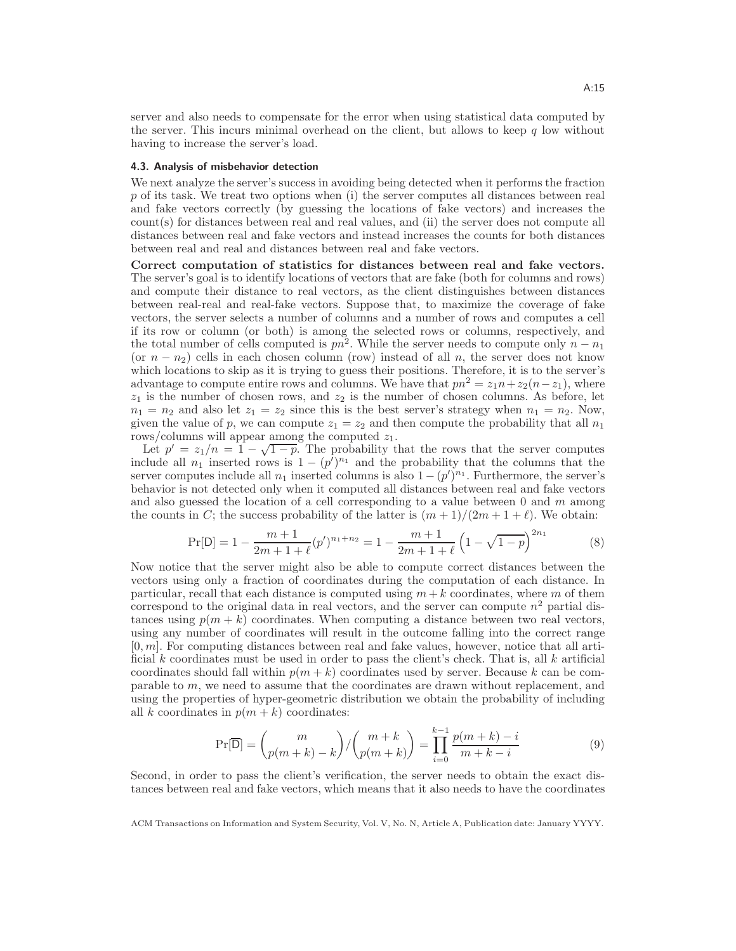server and also needs to compensate for the error when using statistical data computed by the server. This incurs minimal overhead on the client, but allows to keep  $q$  low without having to increase the server's load.

### 4.3. Analysis of misbehavior detection

We next analyze the server's success in avoiding being detected when it performs the fraction p of its task. We treat two options when (i) the server computes all distances between real and fake vectors correctly (by guessing the locations of fake vectors) and increases the count(s) for distances between real and real values, and (ii) the server does not compute all distances between real and fake vectors and instead increases the counts for both distances between real and real and distances between real and fake vectors.

Correct computation of statistics for distances between real and fake vectors. The server's goal is to identify locations of vectors that are fake (both for columns and rows) and compute their distance to real vectors, as the client distinguishes between distances between real-real and real-fake vectors. Suppose that, to maximize the coverage of fake vectors, the server selects a number of columns and a number of rows and computes a cell if its row or column (or both) is among the selected rows or columns, respectively, and the total number of cells computed is  $pn^2$ . While the server needs to compute only  $n - n_1$ (or  $n - n_2$ ) cells in each chosen column (row) instead of all n, the server does not know which locations to skip as it is trying to guess their positions. Therefore, it is to the server's advantage to compute entire rows and columns. We have that  $pn^2 = z_1n + z_2(n-z_1)$ , where  $z_1$  is the number of chosen rows, and  $z_2$  is the number of chosen columns. As before, let  $n_1 = n_2$  and also let  $z_1 = z_2$  since this is the best server's strategy when  $n_1 = n_2$ . Now, given the value of p, we can compute  $z_1 = z_2$  and then compute the probability that all  $n_1$ rows/columns will appear among the computed  $z_1$ .

Let  $p' = z_1/n = 1 - \sqrt{1-p}$ . The probability that the rows that the server computes include all  $n_1$  inserted rows is  $1 - (p')^{n_1}$  and the probability that the columns that the server computes include all  $n_1$  inserted columns is also  $1 - (p')^{n_1}$ . Furthermore, the server's behavior is not detected only when it computed all distances between real and fake vectors and also guessed the location of a cell corresponding to a value between  $0$  and  $m$  among the counts in C; the success probability of the latter is  $(m + 1)/(2m + 1 + \ell)$ . We obtain:

$$
\Pr[D] = 1 - \frac{m+1}{2m+1+\ell} (p')^{n_1+n_2} = 1 - \frac{m+1}{2m+1+\ell} \left(1 - \sqrt{1-p}\right)^{2n_1} \tag{8}
$$

Now notice that the server might also be able to compute correct distances between the vectors using only a fraction of coordinates during the computation of each distance. In particular, recall that each distance is computed using  $m + k$  coordinates, where m of them correspond to the original data in real vectors, and the server can compute  $n^2$  partial distances using  $p(m + k)$  coordinates. When computing a distance between two real vectors, using any number of coordinates will result in the outcome falling into the correct range  $[0, m]$ . For computing distances between real and fake values, however, notice that all artificial k coordinates must be used in order to pass the client's check. That is, all k artificial coordinates should fall within  $p(m + k)$  coordinates used by server. Because k can be comparable to m, we need to assume that the coordinates are drawn without replacement, and using the properties of hyper-geometric distribution we obtain the probability of including all k coordinates in  $p(m + k)$  coordinates:

$$
\Pr[\overline{D}] = {m \choose p(m+k) - k} / {m+k \choose p(m+k)} = \prod_{i=0}^{k-1} \frac{p(m+k) - i}{m+k-i}
$$
(9)

Second, in order to pass the client's verification, the server needs to obtain the exact distances between real and fake vectors, which means that it also needs to have the coordinates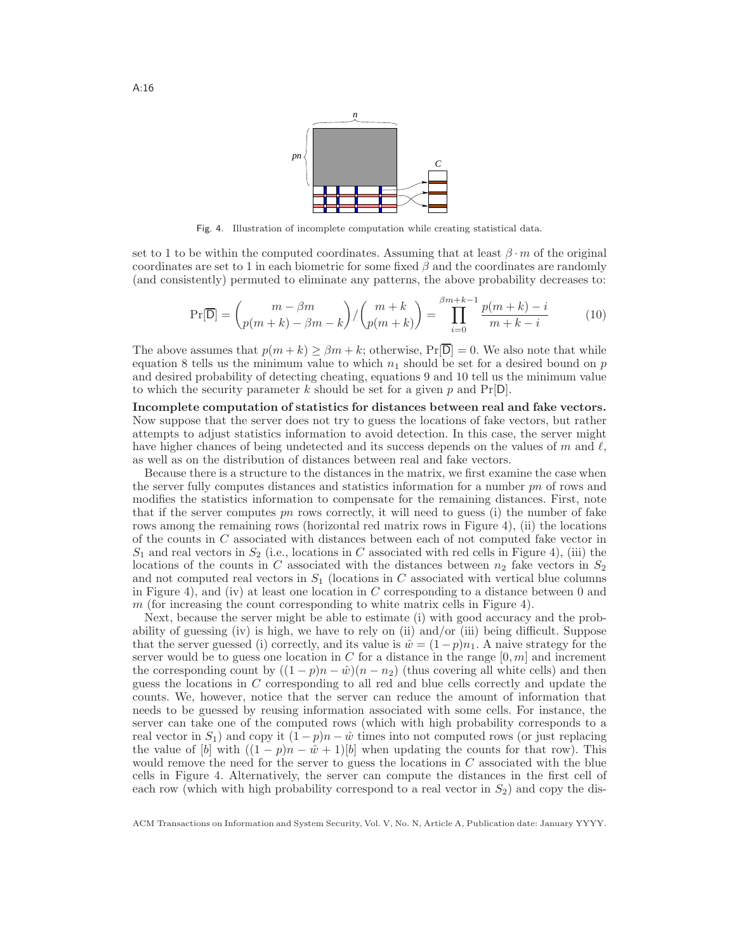

Fig. 4. Illustration of incomplete computation while creating statistical data.

set to 1 to be within the computed coordinates. Assuming that at least  $\beta \cdot m$  of the original coordinates are set to 1 in each biometric for some fixed  $\beta$  and the coordinates are randomly (and consistently) permuted to eliminate any patterns, the above probability decreases to:

$$
\Pr[\overline{D}] = {m - \beta m \choose p(m+k) - \beta m - k} / {m+k \choose p(m+k)} = \prod_{i=0}^{\beta m+k-1} \frac{p(m+k) - i}{m+k-i}
$$
(10)

The above assumes that  $p(m + k) \geq \beta m + k$ ; otherwise,  $Pr[\overline{D}] = 0$ . We also note that while equation 8 tells us the minimum value to which  $n_1$  should be set for a desired bound on p and desired probability of detecting cheating, equations 9 and 10 tell us the minimum value to which the security parameter k should be set for a given p and  $Pr[D]$ .

Incomplete computation of statistics for distances between real and fake vectors. Now suppose that the server does not try to guess the locations of fake vectors, but rather attempts to adjust statistics information to avoid detection. In this case, the server might have higher chances of being undetected and its success depends on the values of m and  $\ell$ , as well as on the distribution of distances between real and fake vectors.

Because there is a structure to the distances in the matrix, we first examine the case when the server fully computes distances and statistics information for a number pn of rows and modifies the statistics information to compensate for the remaining distances. First, note that if the server computes  $pn$  rows correctly, it will need to guess (i) the number of fake rows among the remaining rows (horizontal red matrix rows in Figure 4), (ii) the locations of the counts in C associated with distances between each of not computed fake vector in  $S_1$  and real vectors in  $S_2$  (i.e., locations in C associated with red cells in Figure 4), (iii) the locations of the counts in C associated with the distances between  $n_2$  fake vectors in  $S_2$ and not computed real vectors in  $S_1$  (locations in C associated with vertical blue columns in Figure 4), and (iv) at least one location in  $C$  corresponding to a distance between 0 and  $m$  (for increasing the count corresponding to white matrix cells in Figure 4).

Next, because the server might be able to estimate (i) with good accuracy and the probability of guessing (iv) is high, we have to rely on (ii) and/or (iii) being difficult. Suppose that the server guessed (i) correctly, and its value is  $\hat{w} = (1-p)n_1$ . A naive strategy for the server would be to guess one location in C for a distance in the range  $[0, m]$  and increment the corresponding count by  $((1 - p)n - \hat{w})(n - n_2)$  (thus covering all white cells) and then guess the locations in C corresponding to all red and blue cells correctly and update the counts. We, however, notice that the server can reduce the amount of information that needs to be guessed by reusing information associated with some cells. For instance, the server can take one of the computed rows (which with high probability corresponds to a real vector in  $S_1$ ) and copy it  $(1-p)n - \hat{w}$  times into not computed rows (or just replacing the value of [b] with  $((1 - p)n - \hat{w} + 1)[b]$  when updating the counts for that row). This would remove the need for the server to guess the locations in  $C$  associated with the blue cells in Figure 4. Alternatively, the server can compute the distances in the first cell of each row (which with high probability correspond to a real vector in  $S_2$ ) and copy the dis-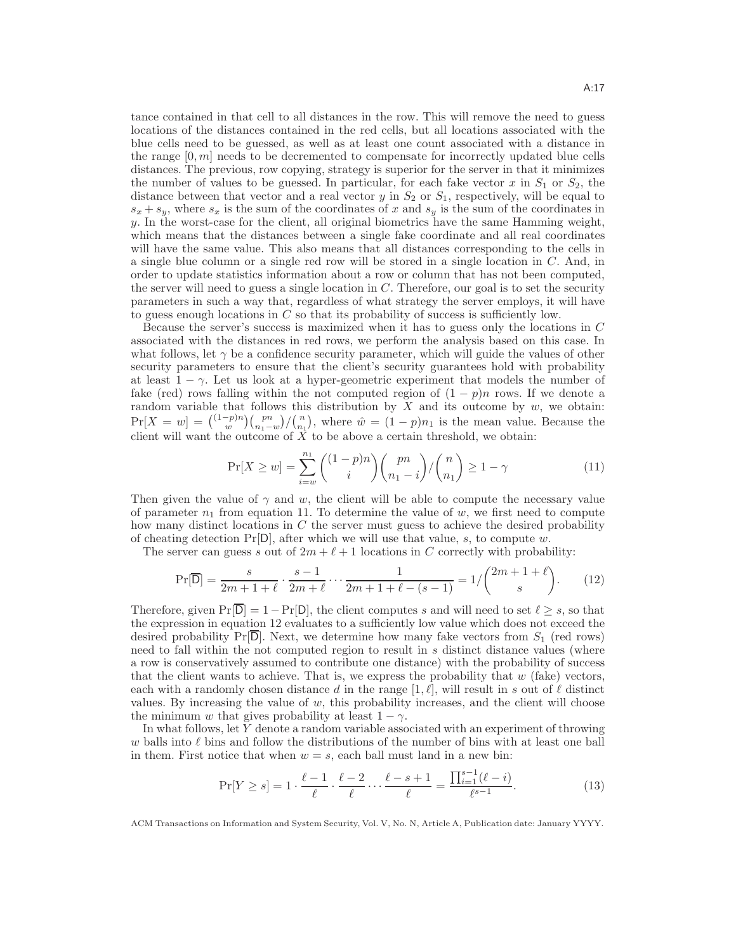tance contained in that cell to all distances in the row. This will remove the need to guess locations of the distances contained in the red cells, but all locations associated with the blue cells need to be guessed, as well as at least one count associated with a distance in the range  $[0, m]$  needs to be decremented to compensate for incorrectly updated blue cells distances. The previous, row copying, strategy is superior for the server in that it minimizes the number of values to be guessed. In particular, for each fake vector x in  $S_1$  or  $S_2$ , the distance between that vector and a real vector  $y$  in  $S_2$  or  $S_1$ , respectively, will be equal to  $s_x + s_y$ , where  $s_x$  is the sum of the coordinates of x and  $s_y$  is the sum of the coordinates in y. In the worst-case for the client, all original biometrics have the same Hamming weight, which means that the distances between a single fake coordinate and all real coordinates will have the same value. This also means that all distances corresponding to the cells in a single blue column or a single red row will be stored in a single location in C. And, in order to update statistics information about a row or column that has not been computed, the server will need to guess a single location in  $C$ . Therefore, our goal is to set the security parameters in such a way that, regardless of what strategy the server employs, it will have to guess enough locations in  $C$  so that its probability of success is sufficiently low.

Because the server's success is maximized when it has to guess only the locations in C associated with the distances in red rows, we perform the analysis based on this case. In what follows, let  $\gamma$  be a confidence security parameter, which will guide the values of other security parameters to ensure that the client's security guarantees hold with probability at least  $1 - \gamma$ . Let us look at a hyper-geometric experiment that models the number of fake (red) rows falling within the not computed region of  $(1 - p)n$  rows. If we denote a random variable that follows this distribution by  $X$  and its outcome by  $w$ , we obtain:  $Pr[X = w] = {(\binom{(1-p)n}{w}} {\binom{pn}{n_1-w}} / {\binom{n}{n_1}},$  where  $\hat{w} = (1-p)n_1$  is the mean value. Because the client will want the outcome of  $X$  to be above a certain threshold, we obtain:

$$
\Pr[X \ge w] = \sum_{i=w}^{n_1} \binom{(1-p)n}{i} \binom{pn}{n_1-i} / \binom{n}{n_1} \ge 1 - \gamma \tag{11}
$$

Then given the value of  $\gamma$  and w, the client will be able to compute the necessary value of parameter  $n_1$  from equation 11. To determine the value of w, we first need to compute how many distinct locations in C the server must guess to achieve the desired probability of cheating detection  $Pr[D]$ , after which we will use that value, s, to compute w.

The server can guess s out of  $2m + \ell + 1$  locations in C correctly with probability:

$$
\Pr[\overline{D}] = \frac{s}{2m+1+\ell} \cdot \frac{s-1}{2m+\ell} \cdots \frac{1}{2m+1+\ell-(s-1)} = 1/\binom{2m+1+\ell}{s}.
$$
 (12)

Therefore, given  $Pr[\overline{D}] = 1 - Pr[D]$ , the client computes s and will need to set  $\ell > s$ , so that the expression in equation 12 evaluates to a sufficiently low value which does not exceed the desired probability  $Pr[\overline{D}]$ . Next, we determine how many fake vectors from  $S_1$  (red rows) need to fall within the not computed region to result in s distinct distance values (where a row is conservatively assumed to contribute one distance) with the probability of success that the client wants to achieve. That is, we express the probability that  $w$  (fake) vectors, each with a randomly chosen distance d in the range  $[1, \ell]$ , will result in s out of  $\ell$  distinct values. By increasing the value of  $w$ , this probability increases, and the client will choose the minimum w that gives probability at least  $1 - \gamma$ .

In what follows, let Y denote a random variable associated with an experiment of throwing w balls into  $\ell$  bins and follow the distributions of the number of bins with at least one ball in them. First notice that when  $w = s$ , each ball must land in a new bin:

$$
\Pr[Y \ge s] = 1 \cdot \frac{\ell - 1}{\ell} \cdot \frac{\ell - 2}{\ell} \cdots \frac{\ell - s + 1}{\ell} = \frac{\prod_{i=1}^{s-1} (\ell - i)}{\ell^{s-1}}.
$$
 (13)

ACM Transactions on Information and System Security, Vol. V, No. N, Article A, Publication date: January YYYY.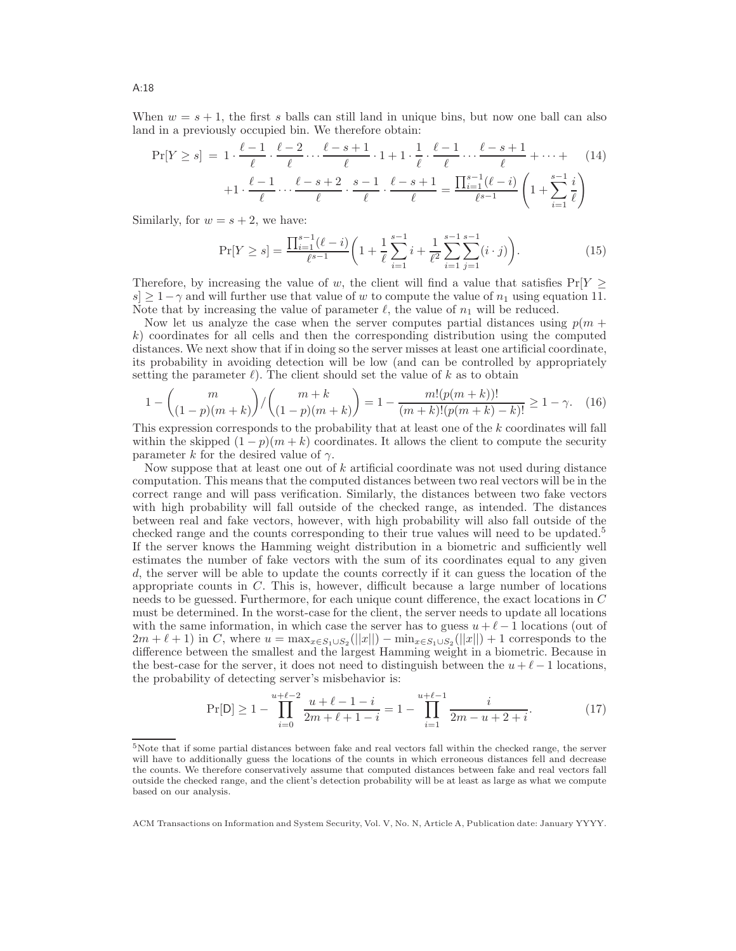When  $w = s + 1$ , the first s balls can still land in unique bins, but now one ball can also land in a previously occupied bin. We therefore obtain:

$$
\Pr[Y \ge s] = 1 \cdot \frac{\ell - 1}{\ell} \cdot \frac{\ell - 2}{\ell} \cdots \frac{\ell - s + 1}{\ell} \cdot 1 + 1 \cdot \frac{1}{\ell} \cdot \frac{\ell - 1}{\ell} \cdots \frac{\ell - s + 1}{\ell} + \cdots + \quad (14)
$$

$$
+ 1 \cdot \frac{\ell - 1}{\ell} \cdots \frac{\ell - s + 2}{\ell} \cdot \frac{s - 1}{\ell} \cdot \frac{\ell - s + 1}{\ell} = \frac{\prod_{i=1}^{s-1} (\ell - i)}{\ell^{s-1}} \left( 1 + \sum_{i=1}^{s-1} \frac{i}{\ell} \right)
$$

Similarly, for  $w = s + 2$ , we have:

$$
\Pr[Y \ge s] = \frac{\prod_{i=1}^{s-1} (\ell - i)}{\ell^{s-1}} \left( 1 + \frac{1}{\ell} \sum_{i=1}^{s-1} i + \frac{1}{\ell^2} \sum_{i=1}^{s-1} \sum_{j=1}^{s-1} (i \cdot j) \right). \tag{15}
$$

Therefore, by increasing the value of w, the client will find a value that satisfies  $Pr[Y \geq$  $s \geq 1-\gamma$  and will further use that value of w to compute the value of  $n_1$  using equation 11. Note that by increasing the value of parameter  $\ell$ , the value of  $n_1$  will be reduced.

Now let us analyze the case when the server computes partial distances using  $p(m +$  $k$ ) coordinates for all cells and then the corresponding distribution using the computed distances. We next show that if in doing so the server misses at least one artificial coordinate, its probability in avoiding detection will be low (and can be controlled by appropriately setting the parameter  $\ell$ ). The client should set the value of k as to obtain

$$
1 - {m \choose (1-p)(m+k)} / {m+k \choose (1-p)(m+k)} = 1 - \frac{m!(p(m+k))!}{(m+k)!(p(m+k)-k)!} \ge 1 - \gamma. \tag{16}
$$

This expression corresponds to the probability that at least one of the k coordinates will fall within the skipped  $(1-p)(m+k)$  coordinates. It allows the client to compute the security parameter k for the desired value of  $\gamma$ .

Now suppose that at least one out of k artificial coordinate was not used during distance computation. This means that the computed distances between two real vectors will be in the correct range and will pass verification. Similarly, the distances between two fake vectors with high probability will fall outside of the checked range, as intended. The distances between real and fake vectors, however, with high probability will also fall outside of the checked range and the counts corresponding to their true values will need to be updated.<sup>5</sup> If the server knows the Hamming weight distribution in a biometric and sufficiently well estimates the number of fake vectors with the sum of its coordinates equal to any given d, the server will be able to update the counts correctly if it can guess the location of the appropriate counts in  $C$ . This is, however, difficult because a large number of locations needs to be guessed. Furthermore, for each unique count difference, the exact locations in C must be determined. In the worst-case for the client, the server needs to update all locations with the same information, in which case the server has to guess  $u + \ell - 1$  locations (out of  $2m + \ell + 1$ ) in C, where  $u = \max_{x \in S_1 \cup S_2} (||x||) - \min_{x \in S_1 \cup S_2} (||x||) + 1$  corresponds to the difference between the smallest and the largest Hamming weight in a biometric. Because in the best-case for the server, it does not need to distinguish between the  $u + \ell - 1$  locations, the probability of detecting server's misbehavior is:

$$
\Pr[D] \ge 1 - \prod_{i=0}^{u+\ell-2} \frac{u+\ell-1-i}{2m+\ell+1-i} = 1 - \prod_{i=1}^{u+\ell-1} \frac{i}{2m-u+2+i}.\tag{17}
$$

ACM Transactions on Information and System Security, Vol. V, No. N, Article A, Publication date: January YYYY.

A:18

 $5$ Note that if some partial distances between fake and real vectors fall within the checked range, the server will have to additionally guess the locations of the counts in which erroneous distances fell and decrease the counts. We therefore conservatively assume that computed distances between fake and real vectors fall outside the checked range, and the client's detection probability will be at least as large as what we compute based on our analysis.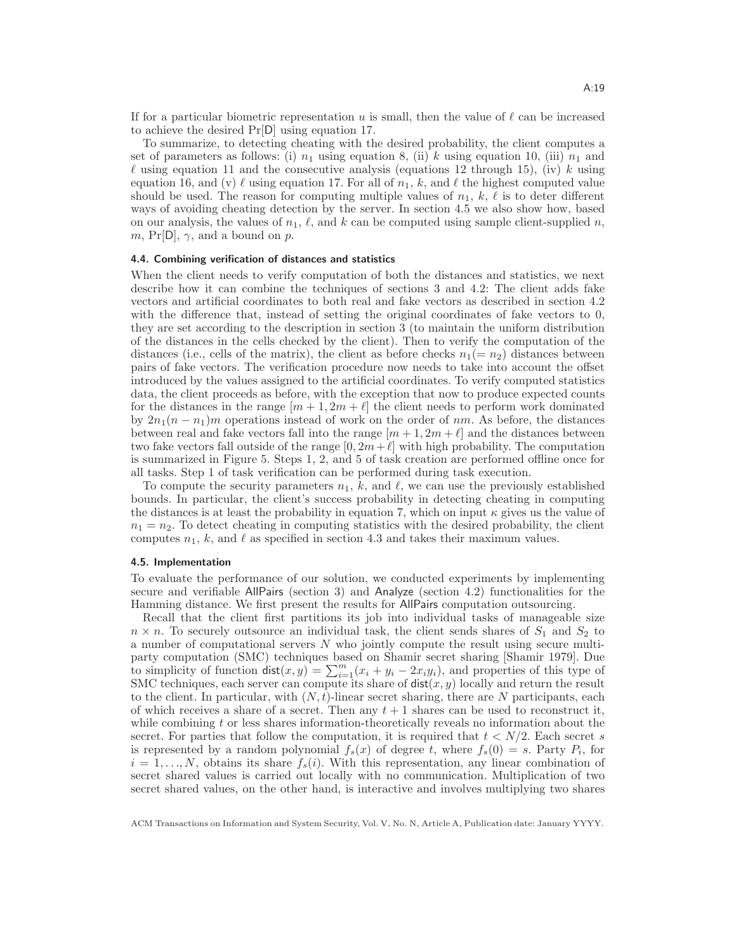If for a particular biometric representation u is small, then the value of  $\ell$  can be increased to achieve the desired Pr[D] using equation 17.

To summarize, to detecting cheating with the desired probability, the client computes a set of parameters as follows: (i)  $n_1$  using equation 8, (ii) k using equation 10, (iii)  $n_1$  and  $\ell$  using equation 11 and the consecutive analysis (equations 12 through 15), (iv) k using equation 16, and (v)  $\ell$  using equation 17. For all of  $n_1$ , k, and  $\ell$  the highest computed value should be used. The reason for computing multiple values of  $n_1, k, \ell$  is to deter different ways of avoiding cheating detection by the server. In section 4.5 we also show how, based on our analysis, the values of  $n_1, \ell$ , and k can be computed using sample client-supplied n, m, Pr[D],  $\gamma$ , and a bound on p.

## 4.4. Combining verification of distances and statistics

When the client needs to verify computation of both the distances and statistics, we next describe how it can combine the techniques of sections 3 and 4.2: The client adds fake vectors and artificial coordinates to both real and fake vectors as described in section 4.2 with the difference that, instead of setting the original coordinates of fake vectors to 0, they are set according to the description in section 3 (to maintain the uniform distribution of the distances in the cells checked by the client). Then to verify the computation of the distances (i.e., cells of the matrix), the client as before checks  $n_1(= n_2)$  distances between pairs of fake vectors. The verification procedure now needs to take into account the offset introduced by the values assigned to the artificial coordinates. To verify computed statistics data, the client proceeds as before, with the exception that now to produce expected counts for the distances in the range  $[m+1, 2m+\ell]$  the client needs to perform work dominated by  $2n_1(n - n_1)m$  operations instead of work on the order of nm. As before, the distances between real and fake vectors fall into the range  $[m+1, 2m+\ell]$  and the distances between two fake vectors fall outside of the range  $[0, 2m+\ell]$  with high probability. The computation is summarized in Figure 5. Steps 1, 2, and 5 of task creation are performed offline once for all tasks. Step 1 of task verification can be performed during task execution.

To compute the security parameters  $n_1, k$ , and  $\ell$ , we can use the previously established bounds. In particular, the client's success probability in detecting cheating in computing the distances is at least the probability in equation 7, which on input  $\kappa$  gives us the value of  $n_1 = n_2$ . To detect cheating in computing statistics with the desired probability, the client computes  $n_1$ , k, and  $\ell$  as specified in section 4.3 and takes their maximum values.

### 4.5. Implementation

To evaluate the performance of our solution, we conducted experiments by implementing secure and verifiable AllPairs (section 3) and Analyze (section 4.2) functionalities for the Hamming distance. We first present the results for AllPairs computation outsourcing.

Recall that the client first partitions its job into individual tasks of manageable size  $n \times n$ . To securely outsource an individual task, the client sends shares of  $S_1$  and  $S_2$  to a number of computational servers  $N$  who jointly compute the result using secure multiparty computation (SMC) techniques based on Shamir secret sharing [Shamir 1979]. Due to simplicity of function  $dist(x, y) = \sum_{i=1}^{m} (x_i + y_i - 2x_i y_i)$ , and properties of this type of SMC techniques, each server can compute its share of  $dist(x, y)$  locally and return the result to the client. In particular, with  $(N, t)$ -linear secret sharing, there are N participants, each of which receives a share of a secret. Then any  $t + 1$  shares can be used to reconstruct it, while combining  $t$  or less shares information-theoretically reveals no information about the secret. For parties that follow the computation, it is required that  $t < N/2$ . Each secret s is represented by a random polynomial  $f_s(x)$  of degree t, where  $f_s(0) = s$ . Party  $P_i$ , for  $i = 1, \ldots, N$ , obtains its share  $f_s(i)$ . With this representation, any linear combination of secret shared values is carried out locally with no communication. Multiplication of two secret shared values, on the other hand, is interactive and involves multiplying two shares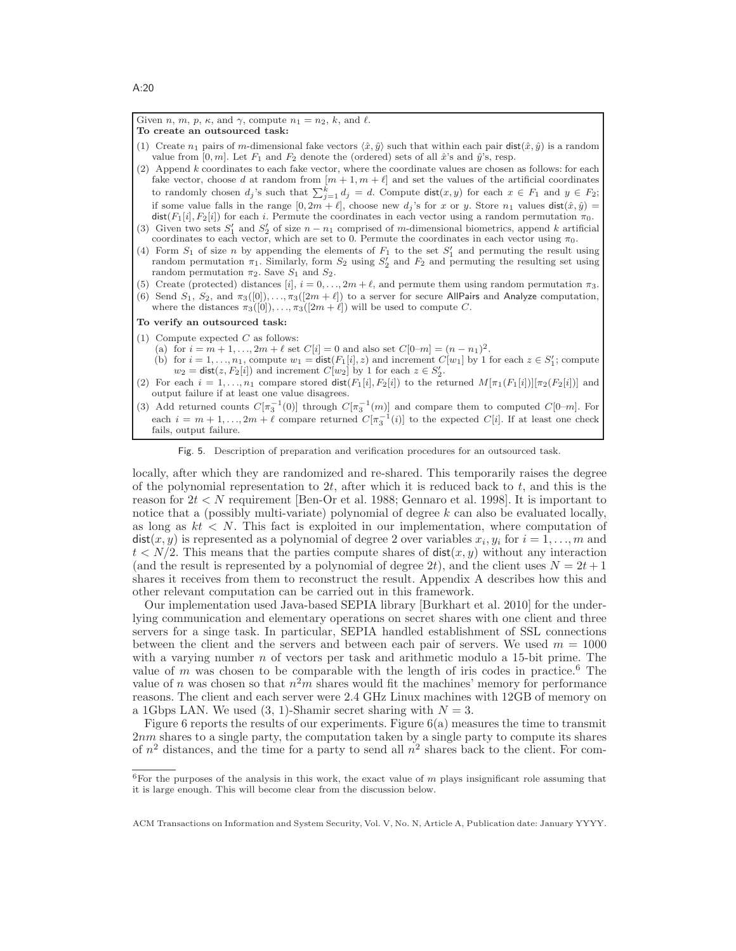#### Given n, m, p,  $\kappa$ , and  $\gamma$ , compute  $n_1 = n_2$ , k, and  $\ell$ . To create an outsourced task:

- Create  $n_1$  pairs of m-dimensional fake vectors  $\langle \hat{x}, \hat{y} \rangle$  such that within each pair dist $(\hat{x}, \hat{y})$  is a random value from  $[0, m]$ . Let  $F_1$  and  $F_2$  denote the (ordered) sets of all  $\hat{x}$ 's and  $\hat{y}$ 's, resp.
- (2) Append  $k$  coordinates to each fake vector, where the coordinate values are chosen as follows: for each fake vector, choose d at random from  $[m+1, m+\ell]$  and set the values of the artificial coordinates to randomly chosen  $d_j$ 's such that  $\sum_{j=1}^k d_j = d$ . Compute  $dist(x, y)$  for each  $x \in F_1$  and  $y \in F_2$ ; if some value falls in the range  $[0, 2m + \ell]$ , choose new  $d_i$ 's for x or y. Store  $n_1$  values dist $(\hat{x}, \hat{y})$ dist( $F_1[i], F_2[i]$ ) for each i. Permute the coordinates in each vector using a random permutation  $\pi_0$ .
- (3) Given two sets  $S'_1$  and  $S'_2$  of size  $n n_1$  comprised of m-dimensional biometrics, append k artificial coordinates to each vector, which are set to 0. Permute the coordinates in each vector using  $\pi_0$ .
- (4) Form  $S_1$  of size n by appending the elements of  $F_1$  to the set  $S'_1$  and permuting the result using random permutation  $\pi_1$ . Similarly, form  $S_2$  using  $S'_2$  and  $F_2$  and permuting the resulting set using random permutation  $\pi_2$ . Save  $S_1$  and  $S_2$ .
- (5) Create (protected) distances [i],  $i = 0, ..., 2m + \ell$ , and permute them using random permutation  $\pi_3$ .
- (6) Send  $S_1$ ,  $S_2$ , and  $\pi_3([0])$ , ...,  $\pi_3([2m + \ell])$  to a server for secure AllPairs and Analyze computation, where the distances  $\pi_3([0]), \ldots, \pi_3([2m+\ell])$  will be used to compute C.

## To verify an outsourced task:

- (1) Compute expected  $C$  as follows:
- (a) for  $i = m + 1, ..., 2m + \ell$  set  $C[i] = 0$  and also set  $C[0-m] = (n n_1)^2$ .
- (b) for  $i = 1, ..., n_1$ , compute  $w_1 = \text{dist}(F_1[i], z)$  and increment  $C[w_1]$  by 1 for each  $z \in S'_1$ ; compute  $w_2 = \text{dist}(z, F_2[i])$  and increment  $C[w_2]$  by 1 for each  $z \in S'_2$ .
- (2) For each  $i = 1, \ldots, n_1$  compare stored dist $(F_1[i], F_2[i])$  to the returned  $M[\pi_1(F_1[i])][\pi_2(F_2[i])]$  and output failure if at least one value disagrees.
- (3) Add returned counts  $C[\pi_3^{-1}(0)]$  through  $C[\pi_3^{-1}(m)]$  and compare them to computed  $C[0-m]$ . For each  $i = m + 1, ..., 2m + \ell$  compare returned  $C[\pi_3^{-1}(i)]$  to the expected  $C[i]$ . If at least one check fails, output failure.

Fig. 5. Description of preparation and verification procedures for an outsourced task.

locally, after which they are randomized and re-shared. This temporarily raises the degree of the polynomial representation to  $2t$ , after which it is reduced back to  $t$ , and this is the reason for  $2t < N$  requirement [Ben-Or et al. 1988; Gennaro et al. 1998]. It is important to notice that a (possibly multi-variate) polynomial of degree  $k$  can also be evaluated locally, as long as  $kt < N$ . This fact is exploited in our implementation, where computation of dist $(x, y)$  is represented as a polynomial of degree 2 over variables  $x_i, y_i$  for  $i = 1, \ldots, m$  and  $t < N/2$ . This means that the parties compute shares of  $dist(x, y)$  without any interaction (and the result is represented by a polynomial of degree  $2t$ ), and the client uses  $N = 2t + 1$ shares it receives from them to reconstruct the result. Appendix A describes how this and other relevant computation can be carried out in this framework.

Our implementation used Java-based SEPIA library [Burkhart et al. 2010] for the underlying communication and elementary operations on secret shares with one client and three servers for a singe task. In particular, SEPIA handled establishment of SSL connections between the client and the servers and between each pair of servers. We used  $m = 1000$ with a varying number  $n$  of vectors per task and arithmetic modulo a 15-bit prime. The value of  $m$  was chosen to be comparable with the length of iris codes in practice.<sup>6</sup> The value of n was chosen so that  $n^2m$  shares would fit the machines' memory for performance reasons. The client and each server were 2.4 GHz Linux machines with 12GB of memory on a 1Gbps LAN. We used  $(3, 1)$ -Shamir secret sharing with  $N = 3$ .

Figure 6 reports the results of our experiments. Figure  $6(a)$  measures the time to transmit 2nm shares to a single party, the computation taken by a single party to compute its shares of  $n^2$  distances, and the time for a party to send all  $n^2$  shares back to the client. For com-

 $6$ For the purposes of the analysis in this work, the exact value of m plays insignificant role assuming that it is large enough. This will become clear from the discussion below.

ACM Transactions on Information and System Security, Vol. V, No. N, Article A, Publication date: January YYYY.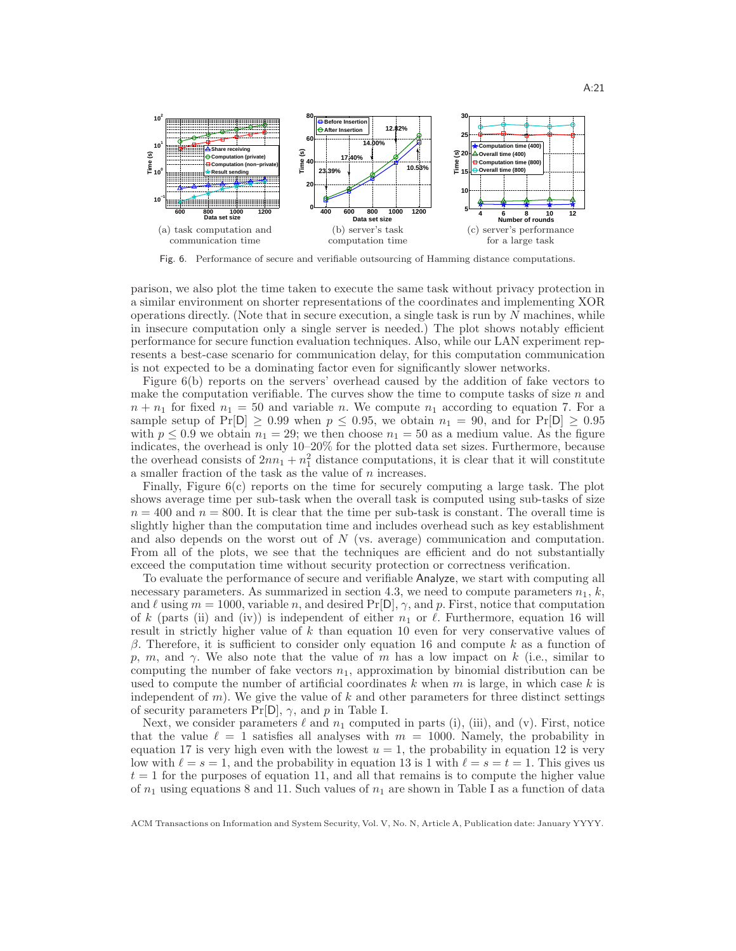

Fig. 6. Performance of secure and verifiable outsourcing of Hamming distance computations.

parison, we also plot the time taken to execute the same task without privacy protection in a similar environment on shorter representations of the coordinates and implementing XOR operations directly. (Note that in secure execution, a single task is run by  $N$  machines, while in insecure computation only a single server is needed.) The plot shows notably efficient performance for secure function evaluation techniques. Also, while our LAN experiment represents a best-case scenario for communication delay, for this computation communication is not expected to be a dominating factor even for significantly slower networks.

Figure 6(b) reports on the servers' overhead caused by the addition of fake vectors to make the computation verifiable. The curves show the time to compute tasks of size  $n$  and  $n + n_1$  for fixed  $n_1 = 50$  and variable n. We compute  $n_1$  according to equation 7. For a sample setup of Pr[D]  $\geq$  0.99 when  $p \leq 0.95$ , we obtain  $n_1 = 90$ , and for Pr[D]  $\geq 0.95$ with  $p \le 0.9$  we obtain  $n_1 = 29$ ; we then choose  $n_1 = 50$  as a medium value. As the figure indicates, the overhead is only 10–20% for the plotted data set sizes. Furthermore, because the overhead consists of  $2nn_1 + n_1^2$  distance computations, it is clear that it will constitute a smaller fraction of the task as the value of  $n$  increases.

Finally, Figure 6(c) reports on the time for securely computing a large task. The plot shows average time per sub-task when the overall task is computed using sub-tasks of size  $n = 400$  and  $n = 800$ . It is clear that the time per sub-task is constant. The overall time is slightly higher than the computation time and includes overhead such as key establishment and also depends on the worst out of  $N$  (vs. average) communication and computation. From all of the plots, we see that the techniques are efficient and do not substantially exceed the computation time without security protection or correctness verification.

To evaluate the performance of secure and verifiable Analyze, we start with computing all necessary parameters. As summarized in section 4.3, we need to compute parameters  $n_1, k$ , and  $\ell$  using  $m = 1000$ , variable n, and desired Pr[D],  $\gamma$ , and p. First, notice that computation of k (parts (ii) and (iv)) is independent of either  $n_1$  or  $\ell$ . Furthermore, equation 16 will result in strictly higher value of  $k$  than equation 10 even for very conservative values of β. Therefore, it is sufficient to consider only equation 16 and compute k as a function of p, m, and  $\gamma$ . We also note that the value of m has a low impact on k (i.e., similar to computing the number of fake vectors  $n_1$ , approximation by binomial distribution can be used to compute the number of artificial coordinates k when  $m$  is large, in which case k is independent of m). We give the value of k and other parameters for three distinct settings of security parameters  $Pr[D], \gamma$ , and p in Table I.

Next, we consider parameters  $\ell$  and  $n_1$  computed in parts (i), (iii), and (v). First, notice that the value  $\ell = 1$  satisfies all analyses with  $m = 1000$ . Namely, the probability in equation 17 is very high even with the lowest  $u = 1$ , the probability in equation 12 is very low with  $\ell = s = 1$ , and the probability in equation 13 is 1 with  $\ell = s = t = 1$ . This gives us  $t = 1$  for the purposes of equation 11, and all that remains is to compute the higher value of  $n_1$  using equations 8 and 11. Such values of  $n_1$  are shown in Table I as a function of data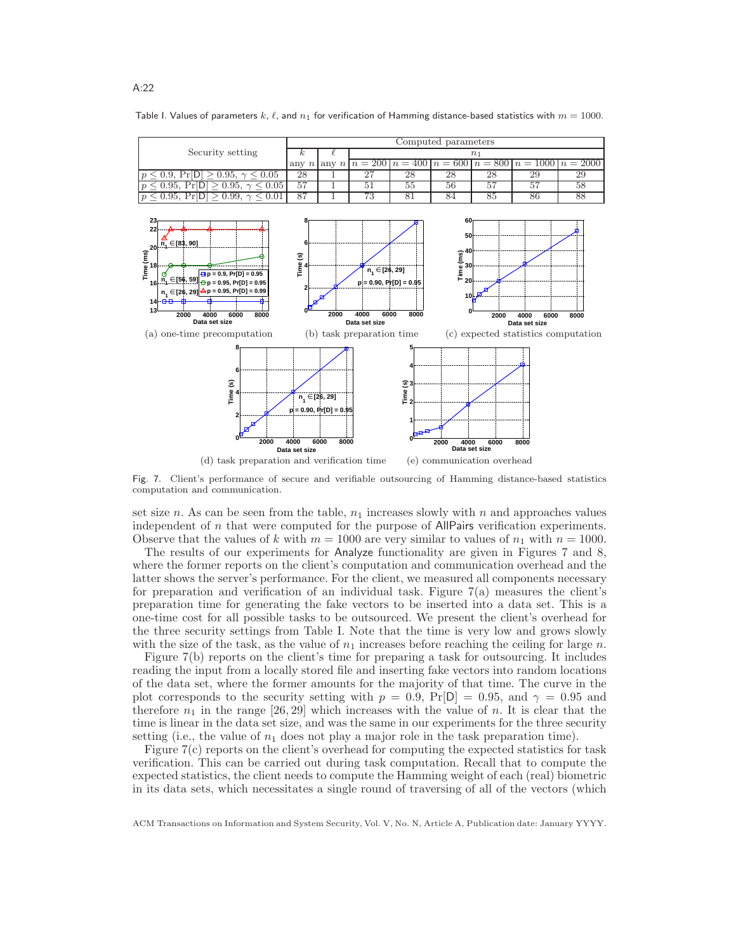

Table I. Values of parameters k,  $\ell$ , and  $n_1$  for verification of Hamming distance-based statistics with  $m = 1000$ .

Fig. 7. Client's performance of secure and verifiable outsourcing of Hamming distance-based statistics computation and communication.

set size n. As can be seen from the table,  $n_1$  increases slowly with n and approaches values independent of n that were computed for the purpose of AllPairs verification experiments. Observe that the values of k with  $m = 1000$  are very similar to values of  $n_1$  with  $n = 1000$ .

The results of our experiments for Analyze functionality are given in Figures 7 and 8, where the former reports on the client's computation and communication overhead and the latter shows the server's performance. For the client, we measured all components necessary for preparation and verification of an individual task. Figure 7(a) measures the client's preparation time for generating the fake vectors to be inserted into a data set. This is a one-time cost for all possible tasks to be outsourced. We present the client's overhead for the three security settings from Table I. Note that the time is very low and grows slowly with the size of the task, as the value of  $n_1$  increases before reaching the ceiling for large n.

Figure 7(b) reports on the client's time for preparing a task for outsourcing. It includes reading the input from a locally stored file and inserting fake vectors into random locations of the data set, where the former amounts for the majority of that time. The curve in the plot corresponds to the security setting with  $p = 0.9$ ,  $Pr[D] = 0.95$ , and  $\gamma = 0.95$  and therefore  $n_1$  in the range [26, 29] which increases with the value of n. It is clear that the time is linear in the data set size, and was the same in our experiments for the three security setting (i.e., the value of  $n_1$  does not play a major role in the task preparation time).

Figure 7(c) reports on the client's overhead for computing the expected statistics for task verification. This can be carried out during task computation. Recall that to compute the expected statistics, the client needs to compute the Hamming weight of each (real) biometric in its data sets, which necessitates a single round of traversing of all of the vectors (which

A:22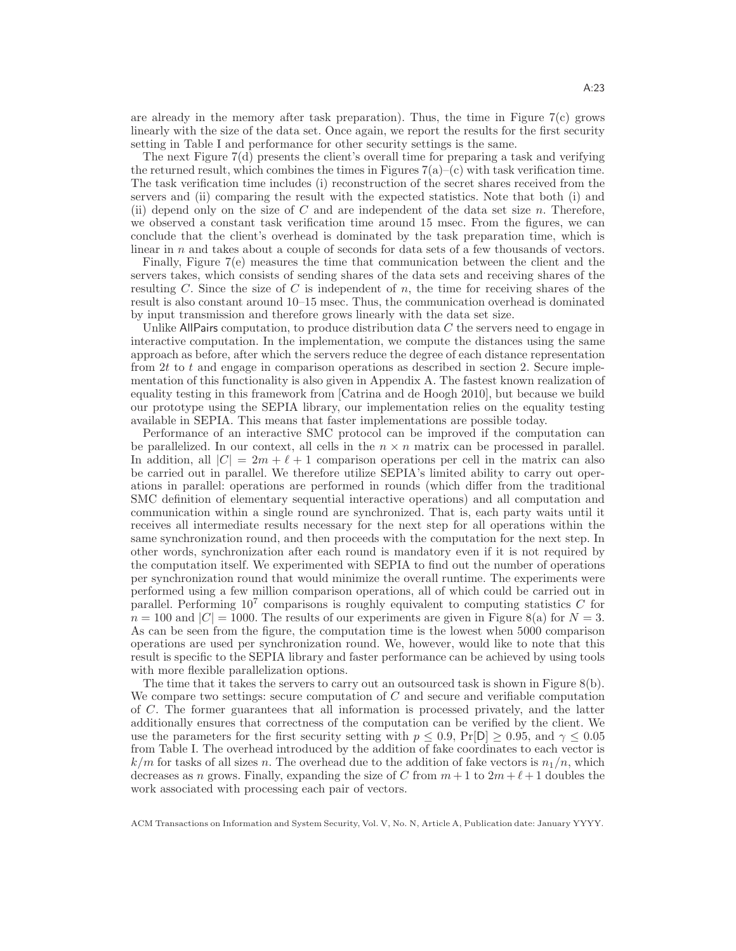are already in the memory after task preparation). Thus, the time in Figure 7(c) grows linearly with the size of the data set. Once again, we report the results for the first security setting in Table I and performance for other security settings is the same.

The next Figure 7(d) presents the client's overall time for preparing a task and verifying the returned result, which combines the times in Figures  $7(a)$ –(c) with task verification time. The task verification time includes (i) reconstruction of the secret shares received from the servers and (ii) comparing the result with the expected statistics. Note that both (i) and (ii) depend only on the size of  $C$  and are independent of the data set size  $n$ . Therefore, we observed a constant task verification time around 15 msec. From the figures, we can conclude that the client's overhead is dominated by the task preparation time, which is linear in n and takes about a couple of seconds for data sets of a few thousands of vectors.

Finally, Figure 7(e) measures the time that communication between the client and the servers takes, which consists of sending shares of the data sets and receiving shares of the resulting C. Since the size of C is independent of n, the time for receiving shares of the result is also constant around 10–15 msec. Thus, the communication overhead is dominated by input transmission and therefore grows linearly with the data set size.

Unlike AllPairs computation, to produce distribution data  $C$  the servers need to engage in interactive computation. In the implementation, we compute the distances using the same approach as before, after which the servers reduce the degree of each distance representation from 2t to t and engage in comparison operations as described in section 2. Secure implementation of this functionality is also given in Appendix A. The fastest known realization of equality testing in this framework from [Catrina and de Hoogh 2010], but because we build our prototype using the SEPIA library, our implementation relies on the equality testing available in SEPIA. This means that faster implementations are possible today.

Performance of an interactive SMC protocol can be improved if the computation can be parallelized. In our context, all cells in the  $n \times n$  matrix can be processed in parallel. In addition, all  $|C| = 2m + \ell + 1$  comparison operations per cell in the matrix can also be carried out in parallel. We therefore utilize SEPIA's limited ability to carry out operations in parallel: operations are performed in rounds (which differ from the traditional SMC definition of elementary sequential interactive operations) and all computation and communication within a single round are synchronized. That is, each party waits until it receives all intermediate results necessary for the next step for all operations within the same synchronization round, and then proceeds with the computation for the next step. In other words, synchronization after each round is mandatory even if it is not required by the computation itself. We experimented with SEPIA to find out the number of operations per synchronization round that would minimize the overall runtime. The experiments were performed using a few million comparison operations, all of which could be carried out in parallel. Performing  $10^7$  comparisons is roughly equivalent to computing statistics C for  $n = 100$  and  $|C| = 1000$ . The results of our experiments are given in Figure 8(a) for  $N = 3$ . As can be seen from the figure, the computation time is the lowest when 5000 comparison operations are used per synchronization round. We, however, would like to note that this result is specific to the SEPIA library and faster performance can be achieved by using tools with more flexible parallelization options.

The time that it takes the servers to carry out an outsourced task is shown in Figure  $8(b)$ . We compare two settings: secure computation of C and secure and verifiable computation of C. The former guarantees that all information is processed privately, and the latter additionally ensures that correctness of the computation can be verified by the client. We use the parameters for the first security setting with  $p \le 0.9$ ,  $Pr[D] \ge 0.95$ , and  $\gamma \le 0.05$ from Table I. The overhead introduced by the addition of fake coordinates to each vector is  $k/m$  for tasks of all sizes n. The overhead due to the addition of fake vectors is  $n_1/n$ , which decreases as n grows. Finally, expanding the size of C from  $m+1$  to  $2m+\ell+1$  doubles the work associated with processing each pair of vectors.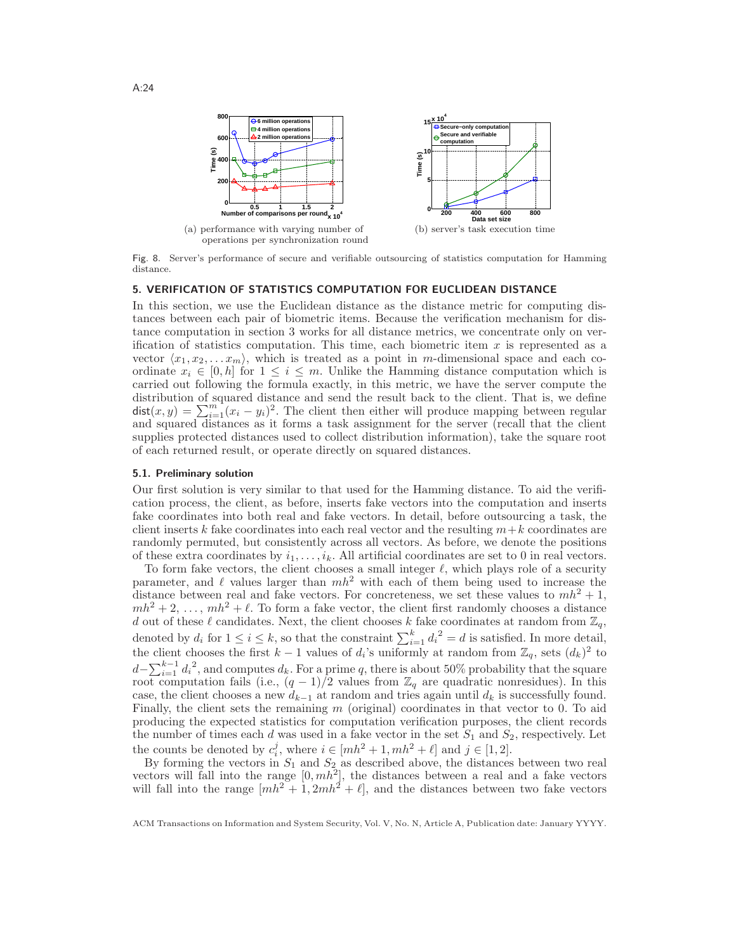

Fig. 8. Server's performance of secure and verifiable outsourcing of statistics computation for Hamming distance.

## 5. VERIFICATION OF STATISTICS COMPUTATION FOR EUCLIDEAN DISTANCE

In this section, we use the Euclidean distance as the distance metric for computing distances between each pair of biometric items. Because the verification mechanism for distance computation in section 3 works for all distance metrics, we concentrate only on verification of statistics computation. This time, each biometric item  $x$  is represented as a vector  $\langle x_1, x_2, \ldots x_m \rangle$ , which is treated as a point in m-dimensional space and each coordinate  $x_i \in [0, h]$  for  $1 \leq i \leq m$ . Unlike the Hamming distance computation which is carried out following the formula exactly, in this metric, we have the server compute the distribution of squared distance and send the result back to the client. That is, we define  $dist(x, y) = \sum_{i=1}^{m} (x_i - y_i)^2$ . The client then either will produce mapping between regular and squared distances as it forms a task assignment for the server (recall that the client supplies protected distances used to collect distribution information), take the square root of each returned result, or operate directly on squared distances.

## 5.1. Preliminary solution

Our first solution is very similar to that used for the Hamming distance. To aid the verification process, the client, as before, inserts fake vectors into the computation and inserts fake coordinates into both real and fake vectors. In detail, before outsourcing a task, the client inserts k fake coordinates into each real vector and the resulting  $m+k$  coordinates are randomly permuted, but consistently across all vectors. As before, we denote the positions of these extra coordinates by  $i_1, \ldots, i_k$ . All artificial coordinates are set to 0 in real vectors.

To form fake vectors, the client chooses a small integer  $\ell$ , which plays role of a security parameter, and  $\ell$  values larger than  $mh^2$  with each of them being used to increase the distance between real and fake vectors. For concreteness, we set these values to  $mh^2 + 1$ ,  $mh^2 + 2, \ldots, mh^2 + \ell$ . To form a fake vector, the client first randomly chooses a distance d out of these  $\ell$  candidates. Next, the client chooses k fake coordinates at random from  $\mathbb{Z}_q$ , denoted by  $d_i$  for  $1 \leq i \leq k$ , so that the constraint  $\sum_{i=1}^k d_i^2 = d$  is satisfied. In more detail, the client chooses the first  $k-1$  values of  $d_i$ 's uniformly at random from  $\mathbb{Z}_q$ , sets  $(d_k)^2$  to  $d-\sum_{i=1}^{k-1}d_i^2$ , and computes  $d_k$ . For a prime q, there is about 50% probability that the square root computation fails (i.e.,  $(q-1)/2$  values from  $\mathbb{Z}_q$  are quadratic nonresidues). In this case, the client chooses a new  $d_{k-1}$  at random and tries again until  $d_k$  is successfully found. Finally, the client sets the remaining m (original) coordinates in that vector to 0. To aid producing the expected statistics for computation verification purposes, the client records the number of times each  $d$  was used in a fake vector in the set  $S_1$  and  $S_2$ , respectively. Let the counts be denoted by  $c_i^j$ , where  $i \in [mh^2 + 1, mh^2 + \ell]$  and  $j \in [1, 2]$ .

By forming the vectors in  $S_1$  and  $S_2$  as described above, the distances between two real vectors will fall into the range  $[0, mh^2]$ , the distances between a real and a fake vectors will fall into the range  $[mh^2 + 1, 2mh^2 + \ell]$ , and the distances between two fake vectors

ACM Transactions on Information and System Security, Vol. V, No. N, Article A, Publication date: January YYYY.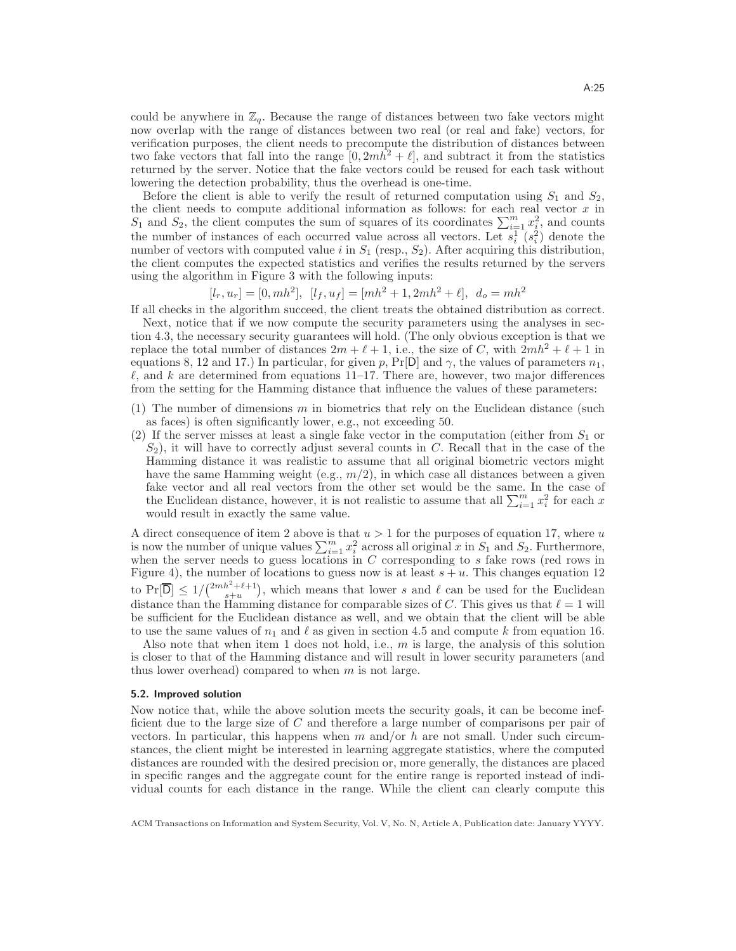could be anywhere in  $\mathbb{Z}_q$ . Because the range of distances between two fake vectors might now overlap with the range of distances between two real (or real and fake) vectors, for verification purposes, the client needs to precompute the distribution of distances between two fake vectors that fall into the range  $[0, 2m\hbar^2 + \ell]$ , and subtract it from the statistics returned by the server. Notice that the fake vectors could be reused for each task without lowering the detection probability, thus the overhead is one-time.

Before the client is able to verify the result of returned computation using  $S_1$  and  $S_2$ , the client needs to compute additional information as follows: for each real vector  $x$  in  $S_1$  and  $S_2$ , the client computes the sum of squares of its coordinates  $\sum_{i=1}^m x_i^2$ , and counts the number of instances of each occurred value across all vectors. Let  $s_i^1$   $(s_i^2)$  denote the number of vectors with computed value i in  $S_1$  (resp.,  $S_2$ ). After acquiring this distribution, the client computes the expected statistics and verifies the results returned by the servers using the algorithm in Figure 3 with the following inputs:

 $[l_r, u_r] = [0, mh^2], \ [l_f, u_f] = [mh^2 + 1, 2mh^2 + \ell], \ d_o = mh^2$ 

If all checks in the algorithm succeed, the client treats the obtained distribution as correct. Next, notice that if we now compute the security parameters using the analyses in section 4.3, the necessary security guarantees will hold. (The only obvious exception is that we replace the total number of distances  $2m + \ell + 1$ , i.e., the size of C, with  $2mh^2 + \ell + 1$  in equations 8, 12 and 17.) In particular, for given p,  $Pr[D]$  and  $\gamma$ , the values of parameters  $n_1$ ,  $\ell$ , and k are determined from equations 11–17. There are, however, two major differences from the setting for the Hamming distance that influence the values of these parameters:

- (1) The number of dimensions m in biometrics that rely on the Euclidean distance (such as faces) is often significantly lower, e.g., not exceeding 50.
- (2) If the server misses at least a single fake vector in the computation (either from  $S_1$  or  $S_2$ ), it will have to correctly adjust several counts in C. Recall that in the case of the Hamming distance it was realistic to assume that all original biometric vectors might have the same Hamming weight (e.g.,  $m/2$ ), in which case all distances between a given fake vector and all real vectors from the other set would be the same. In the case of the Euclidean distance, however, it is not realistic to assume that all  $\sum_{i=1}^{m} x_i^2$  for each x would result in exactly the same value.

A direct consequence of item 2 above is that  $u > 1$  for the purposes of equation 17, where u is now the number of unique values  $\sum_{i=1}^{m} x_i^2$  across all original x in  $S_1$  and  $S_2$ . Furthermore, when the server needs to guess locations in  $C$  corresponding to  $s$  fake rows (red rows in Figure 4), the number of locations to guess now is at least  $s + u$ . This changes equation 12 to  $Pr[\overline{D}] \le 1/(2mk^2+\ell+1)$ , which means that lower s and  $\ell$  can be used for the Euclidean distance than the Hamming distance for comparable sizes of C. This gives us that  $\ell = 1$  will be sufficient for the Euclidean distance as well, and we obtain that the client will be able to use the same values of  $n_1$  and  $\ell$  as given in section 4.5 and compute k from equation 16.

Also note that when item 1 does not hold, i.e.,  $m$  is large, the analysis of this solution is closer to that of the Hamming distance and will result in lower security parameters (and thus lower overhead) compared to when  $m$  is not large.

#### 5.2. Improved solution

Now notice that, while the above solution meets the security goals, it can be become inefficient due to the large size of  $C$  and therefore a large number of comparisons per pair of vectors. In particular, this happens when m and/or h are not small. Under such circumstances, the client might be interested in learning aggregate statistics, where the computed distances are rounded with the desired precision or, more generally, the distances are placed in specific ranges and the aggregate count for the entire range is reported instead of individual counts for each distance in the range. While the client can clearly compute this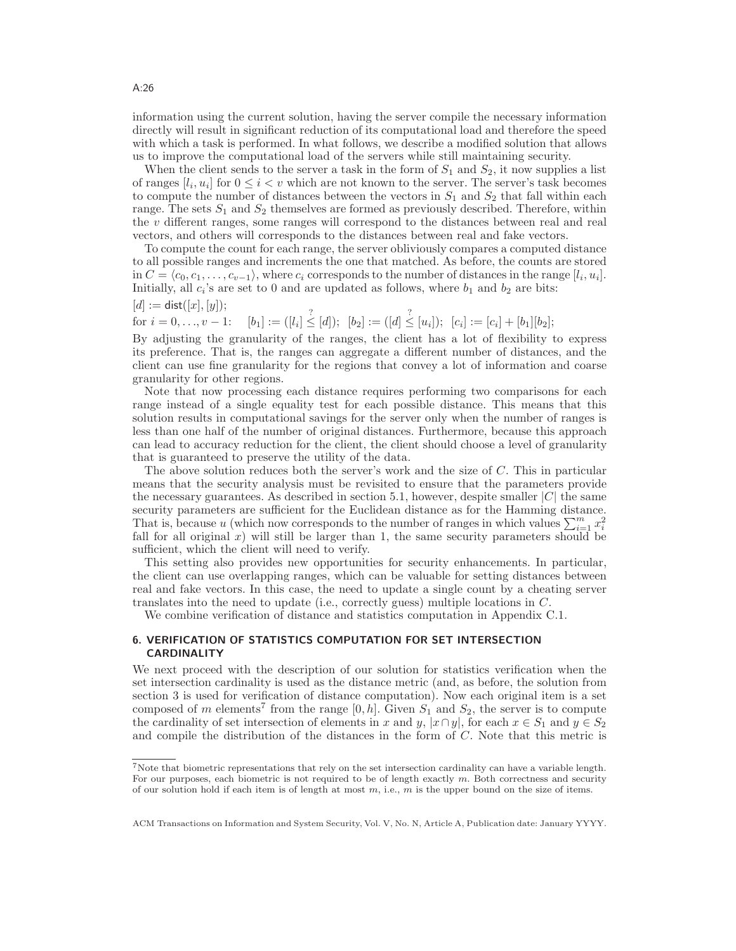information using the current solution, having the server compile the necessary information directly will result in significant reduction of its computational load and therefore the speed with which a task is performed. In what follows, we describe a modified solution that allows us to improve the computational load of the servers while still maintaining security.

When the client sends to the server a task in the form of  $S_1$  and  $S_2$ , it now supplies a list of ranges  $[l_i, u_i]$  for  $0 \leq i < v$  which are not known to the server. The server's task becomes to compute the number of distances between the vectors in  $S_1$  and  $S_2$  that fall within each range. The sets  $S_1$  and  $S_2$  themselves are formed as previously described. Therefore, within the v different ranges, some ranges will correspond to the distances between real and real vectors, and others will corresponds to the distances between real and fake vectors.

To compute the count for each range, the server obliviously compares a computed distance to all possible ranges and increments the one that matched. As before, the counts are stored  $i \in C = \langle c_0, c_1, \ldots, c_{v-1} \rangle$ , where  $c_i$  corresponds to the number of distances in the range  $[l_i, u_i]$ . Initially, all  $c_i$ 's are set to 0 and are updated as follows, where  $b_1$  and  $b_2$  are bits:

$$
[d] := \mathsf{dist}([x], [y]);
$$

for  $i = 0, ..., v - 1$ :  $[b_1] := (b_1] \leq [d]$ ;  $[b_2] := ([d] \leq [u_i])$ ;  $[c_i] := [c_i] + [b_1][b_2]$ ;

By adjusting the granularity of the ranges, the client has a lot of flexibility to express its preference. That is, the ranges can aggregate a different number of distances, and the client can use fine granularity for the regions that convey a lot of information and coarse granularity for other regions.

Note that now processing each distance requires performing two comparisons for each range instead of a single equality test for each possible distance. This means that this solution results in computational savings for the server only when the number of ranges is less than one half of the number of original distances. Furthermore, because this approach can lead to accuracy reduction for the client, the client should choose a level of granularity that is guaranteed to preserve the utility of the data.

The above solution reduces both the server's work and the size of C. This in particular means that the security analysis must be revisited to ensure that the parameters provide the necessary guarantees. As described in section 5.1, however, despite smaller  $|C|$  the same security parameters are sufficient for the Euclidean distance as for the Hamming distance. That is, because u (which now corresponds to the number of ranges in which values  $\sum_{i=1}^{m} x_i^2$ fall for all original  $x$ ) will still be larger than 1, the same security parameters should be sufficient, which the client will need to verify.

This setting also provides new opportunities for security enhancements. In particular, the client can use overlapping ranges, which can be valuable for setting distances between real and fake vectors. In this case, the need to update a single count by a cheating server translates into the need to update (i.e., correctly guess) multiple locations in C.

We combine verification of distance and statistics computation in Appendix C.1.

## 6. VERIFICATION OF STATISTICS COMPUTATION FOR SET INTERSECTION **CARDINALITY**

We next proceed with the description of our solution for statistics verification when the set intersection cardinality is used as the distance metric (and, as before, the solution from section 3 is used for verification of distance computation). Now each original item is a set composed of m elements<sup>7</sup> from the range  $[0, h]$ . Given  $S_1$  and  $S_2$ , the server is to compute the cardinality of set intersection of elements in x and y,  $|x \cap y|$ , for each  $x \in S_1$  and  $y \in S_2$ and compile the distribution of the distances in the form of C. Note that this metric is

<sup>7</sup>Note that biometric representations that rely on the set intersection cardinality can have a variable length. For our purposes, each biometric is not required to be of length exactly  $m$ . Both correctness and security of our solution hold if each item is of length at most  $m$ , i.e.,  $m$  is the upper bound on the size of items.

ACM Transactions on Information and System Security, Vol. V, No. N, Article A, Publication date: January YYYY.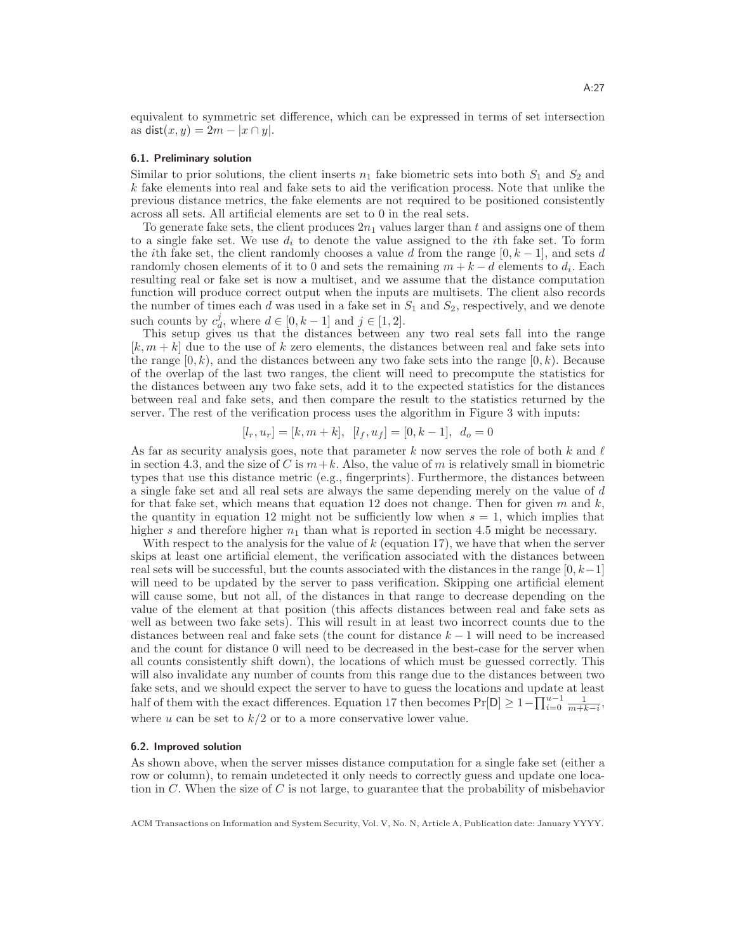equivalent to symmetric set difference, which can be expressed in terms of set intersection as dist $(x, y) = 2m - |x \cap y|$ .

## 6.1. Preliminary solution

Similar to prior solutions, the client inserts  $n_1$  fake biometric sets into both  $S_1$  and  $S_2$  and k fake elements into real and fake sets to aid the verification process. Note that unlike the previous distance metrics, the fake elements are not required to be positioned consistently across all sets. All artificial elements are set to 0 in the real sets.

To generate fake sets, the client produces  $2n_1$  values larger than t and assigns one of them to a single fake set. We use  $d_i$  to denote the value assigned to the *i*th fake set. To form the ith fake set, the client randomly chooses a value d from the range  $[0, k-1]$ , and sets d randomly chosen elements of it to 0 and sets the remaining  $m + k - d$  elements to  $d_i$ . Each resulting real or fake set is now a multiset, and we assume that the distance computation function will produce correct output when the inputs are multisets. The client also records the number of times each d was used in a fake set in  $S_1$  and  $S_2$ , respectively, and we denote such counts by  $c_d^j$ , where  $d \in [0, k-1]$  and  $j \in [1, 2]$ .

This setup gives us that the distances between any two real sets fall into the range  $[k, m + k]$  due to the use of k zero elements, the distances between real and fake sets into the range  $[0, k)$ , and the distances between any two fake sets into the range  $[0, k)$ . Because of the overlap of the last two ranges, the client will need to precompute the statistics for the distances between any two fake sets, add it to the expected statistics for the distances between real and fake sets, and then compare the result to the statistics returned by the server. The rest of the verification process uses the algorithm in Figure 3 with inputs:

$$
[l_r, u_r] = [k, m+k], [l_f, u_f] = [0, k-1], d_o = 0
$$

As far as security analysis goes, note that parameter k now serves the role of both k and  $\ell$ in section 4.3, and the size of C is  $m+k$ . Also, the value of m is relatively small in biometric types that use this distance metric (e.g., fingerprints). Furthermore, the distances between a single fake set and all real sets are always the same depending merely on the value of d for that fake set, which means that equation 12 does not change. Then for given m and  $k$ , the quantity in equation 12 might not be sufficiently low when  $s = 1$ , which implies that higher s and therefore higher  $n_1$  than what is reported in section 4.5 might be necessary.

With respect to the analysis for the value of  $k$  (equation 17), we have that when the server skips at least one artificial element, the verification associated with the distances between real sets will be successful, but the counts associated with the distances in the range  $[0, k-1]$ will need to be updated by the server to pass verification. Skipping one artificial element will cause some, but not all, of the distances in that range to decrease depending on the value of the element at that position (this affects distances between real and fake sets as well as between two fake sets). This will result in at least two incorrect counts due to the distances between real and fake sets (the count for distance  $k-1$  will need to be increased and the count for distance 0 will need to be decreased in the best-case for the server when all counts consistently shift down), the locations of which must be guessed correctly. This will also invalidate any number of counts from this range due to the distances between two fake sets, and we should expect the server to have to guess the locations and update at least half of them with the exact differences. Equation 17 then becomes  $Pr[D] \ge 1 - \prod_{i=0}^{u-1} \frac{1}{m+k-i}$ , where u can be set to  $k/2$  or to a more conservative lower value.

#### 6.2. Improved solution

As shown above, when the server misses distance computation for a single fake set (either a row or column), to remain undetected it only needs to correctly guess and update one location in C. When the size of C is not large, to guarantee that the probability of misbehavior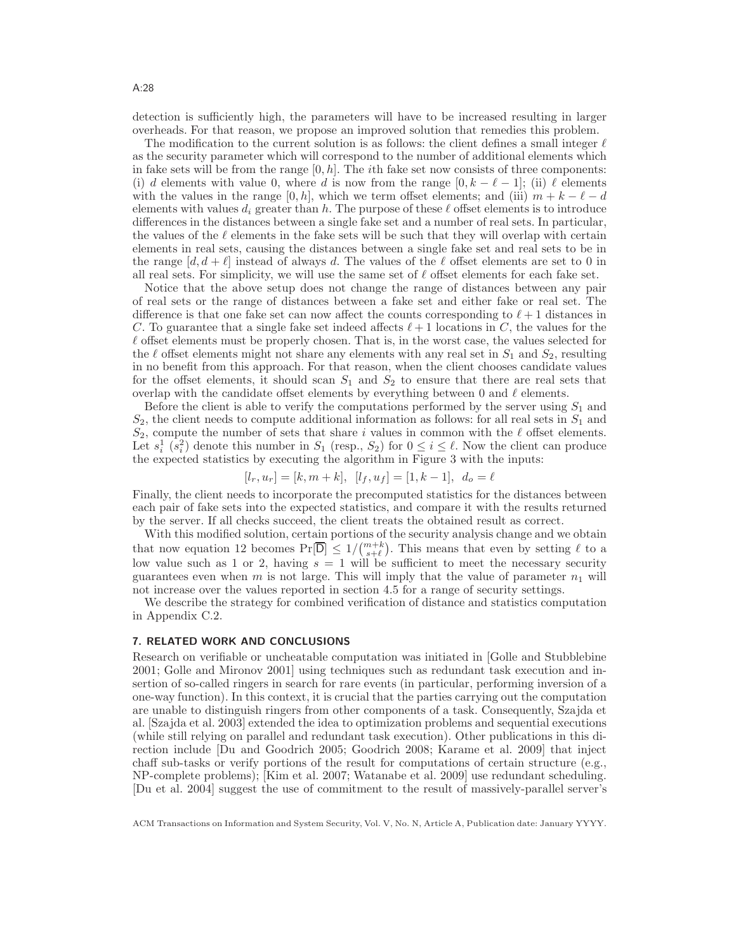detection is sufficiently high, the parameters will have to be increased resulting in larger overheads. For that reason, we propose an improved solution that remedies this problem.

The modification to the current solution is as follows: the client defines a small integer  $\ell$ as the security parameter which will correspond to the number of additional elements which in fake sets will be from the range  $[0, h]$ . The *i*th fake set now consists of three components: (i) d elements with value 0, where d is now from the range  $[0, k - \ell - 1]$ ; (ii)  $\ell$  elements with the values in the range  $[0, h]$ , which we term offset elements; and (iii)  $m + k - \ell - d$ elements with values  $d_i$  greater than h. The purpose of these  $\ell$  offset elements is to introduce differences in the distances between a single fake set and a number of real sets. In particular, the values of the  $\ell$  elements in the fake sets will be such that they will overlap with certain elements in real sets, causing the distances between a single fake set and real sets to be in the range  $[d, d + \ell]$  instead of always d. The values of the  $\ell$  offset elements are set to 0 in all real sets. For simplicity, we will use the same set of  $\ell$  offset elements for each fake set.

Notice that the above setup does not change the range of distances between any pair of real sets or the range of distances between a fake set and either fake or real set. The difference is that one fake set can now affect the counts corresponding to  $\ell + 1$  distances in C. To guarantee that a single fake set indeed affects  $\ell + 1$  locations in C, the values for the  $\ell$  offset elements must be properly chosen. That is, in the worst case, the values selected for the  $\ell$  offset elements might not share any elements with any real set in  $S_1$  and  $S_2$ , resulting in no benefit from this approach. For that reason, when the client chooses candidate values for the offset elements, it should scan  $S_1$  and  $S_2$  to ensure that there are real sets that overlap with the candidate offset elements by everything between 0 and  $\ell$  elements.

Before the client is able to verify the computations performed by the server using  $S_1$  and  $S_2$ , the client needs to compute additional information as follows: for all real sets in  $S_1$  and  $S_2$ , compute the number of sets that share i values in common with the  $\ell$  offset elements. Let  $s_i^1$   $(s_i^2)$  denote this number in  $S_1$  (resp.,  $S_2$ ) for  $0 \le i \le \ell$ . Now the client can produce the expected statistics by executing the algorithm in Figure 3 with the inputs:

$$
[l_r, u_r] = [k, m+k], [l_f, u_f] = [1, k-1], d_o = \ell
$$

Finally, the client needs to incorporate the precomputed statistics for the distances between each pair of fake sets into the expected statistics, and compare it with the results returned by the server. If all checks succeed, the client treats the obtained result as correct.

With this modified solution, certain portions of the security analysis change and we obtain that now equation 12 becomes  $Pr[\overline{D}] \leq 1/\binom{m+k}{s+\ell}$ . This means that even by setting  $\ell$  to a low value such as 1 or 2, having  $s = 1$  will be sufficient to meet the necessary security guarantees even when m is not large. This will imply that the value of parameter  $n_1$  will not increase over the values reported in section 4.5 for a range of security settings.

We describe the strategy for combined verification of distance and statistics computation in Appendix C.2.

## 7. RELATED WORK AND CONCLUSIONS

Research on verifiable or uncheatable computation was initiated in [Golle and Stubblebine 2001; Golle and Mironov 2001] using techniques such as redundant task execution and insertion of so-called ringers in search for rare events (in particular, performing inversion of a one-way function). In this context, it is crucial that the parties carrying out the computation are unable to distinguish ringers from other components of a task. Consequently, Szajda et al. [Szajda et al. 2003] extended the idea to optimization problems and sequential executions (while still relying on parallel and redundant task execution). Other publications in this direction include [Du and Goodrich 2005; Goodrich 2008; Karame et al. 2009] that inject chaff sub-tasks or verify portions of the result for computations of certain structure (e.g., NP-complete problems); [Kim et al. 2007; Watanabe et al. 2009] use redundant scheduling. [Du et al. 2004] suggest the use of commitment to the result of massively-parallel server's

ACM Transactions on Information and System Security, Vol. V, No. N, Article A, Publication date: January YYYY.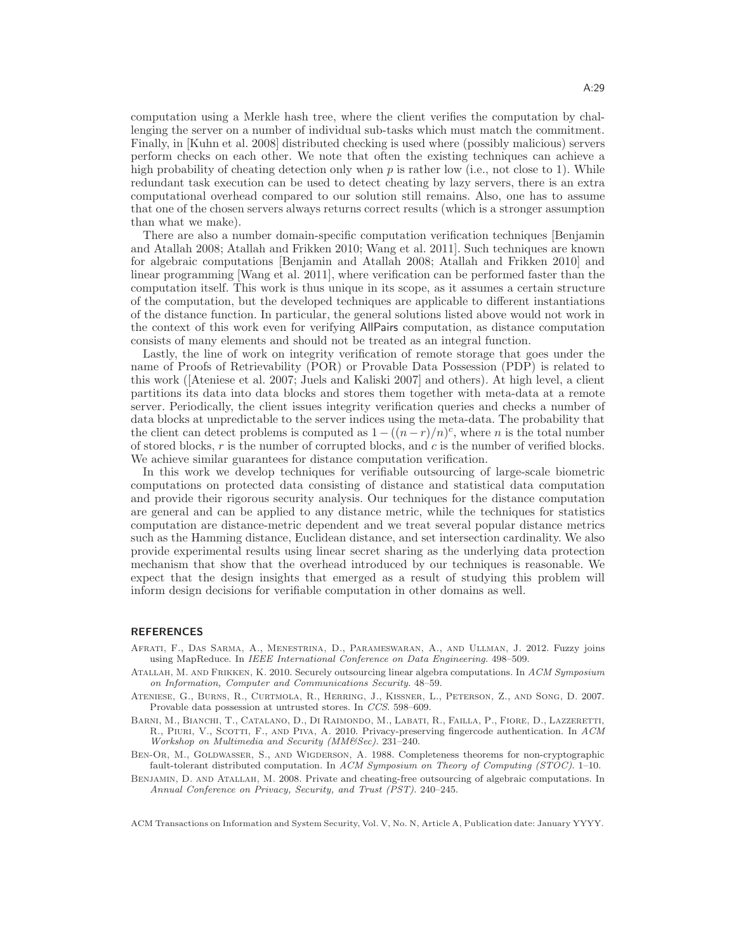computation using a Merkle hash tree, where the client verifies the computation by challenging the server on a number of individual sub-tasks which must match the commitment. Finally, in [Kuhn et al. 2008] distributed checking is used where (possibly malicious) servers perform checks on each other. We note that often the existing techniques can achieve a high probability of cheating detection only when  $p$  is rather low (i.e., not close to 1). While redundant task execution can be used to detect cheating by lazy servers, there is an extra computational overhead compared to our solution still remains. Also, one has to assume that one of the chosen servers always returns correct results (which is a stronger assumption than what we make).

There are also a number domain-specific computation verification techniques [Benjamin and Atallah 2008; Atallah and Frikken 2010; Wang et al. 2011]. Such techniques are known for algebraic computations [Benjamin and Atallah 2008; Atallah and Frikken 2010] and linear programming [Wang et al. 2011], where verification can be performed faster than the computation itself. This work is thus unique in its scope, as it assumes a certain structure of the computation, but the developed techniques are applicable to different instantiations of the distance function. In particular, the general solutions listed above would not work in the context of this work even for verifying AllPairs computation, as distance computation consists of many elements and should not be treated as an integral function.

Lastly, the line of work on integrity verification of remote storage that goes under the name of Proofs of Retrievability (POR) or Provable Data Possession (PDP) is related to this work ([Ateniese et al. 2007; Juels and Kaliski 2007] and others). At high level, a client partitions its data into data blocks and stores them together with meta-data at a remote server. Periodically, the client issues integrity verification queries and checks a number of data blocks at unpredictable to the server indices using the meta-data. The probability that the client can detect problems is computed as  $1 - ((n - r)/n)^c$ , where *n* is the total number of stored blocks,  $r$  is the number of corrupted blocks, and  $c$  is the number of verified blocks. We achieve similar guarantees for distance computation verification.

In this work we develop techniques for verifiable outsourcing of large-scale biometric computations on protected data consisting of distance and statistical data computation and provide their rigorous security analysis. Our techniques for the distance computation are general and can be applied to any distance metric, while the techniques for statistics computation are distance-metric dependent and we treat several popular distance metrics such as the Hamming distance, Euclidean distance, and set intersection cardinality. We also provide experimental results using linear secret sharing as the underlying data protection mechanism that show that the overhead introduced by our techniques is reasonable. We expect that the design insights that emerged as a result of studying this problem will inform design decisions for verifiable computation in other domains as well.

### **REFERENCES**

- Afrati, F., Das Sarma, A., Menestrina, D., Parameswaran, A., and Ullman, J. 2012. Fuzzy joins using MapReduce. In IEEE International Conference on Data Engineering. 498–509.
- Atallah, M. and Frikken, K. 2010. Securely outsourcing linear algebra computations. In ACM Symposium on Information, Computer and Communications Security. 48–59.
- Ateniese, G., Burns, R., Curtmola, R., Herring, J., Kissner, L., Peterson, Z., and Song, D. 2007. Provable data possession at untrusted stores. In CCS. 598–609.
- Barni, M., Bianchi, T., Catalano, D., Di Raimondo, M., Labati, R., Failla, P., Fiore, D., Lazzeretti, R., PIURI, V., SCOTTI, F., AND PIVA, A. 2010. Privacy-preserving fingercode authentication. In ACM Workshop on Multimedia and Security (MM&Sec). 231–240.
- BEN-OR, M., GOLDWASSER, S., AND WIGDERSON, A. 1988. Completeness theorems for non-cryptographic fault-tolerant distributed computation. In ACM Symposium on Theory of Computing (STOC). 1–10.
- Benjamin, D. and Atallah, M. 2008. Private and cheating-free outsourcing of algebraic computations. In Annual Conference on Privacy, Security, and Trust (PST). 240–245.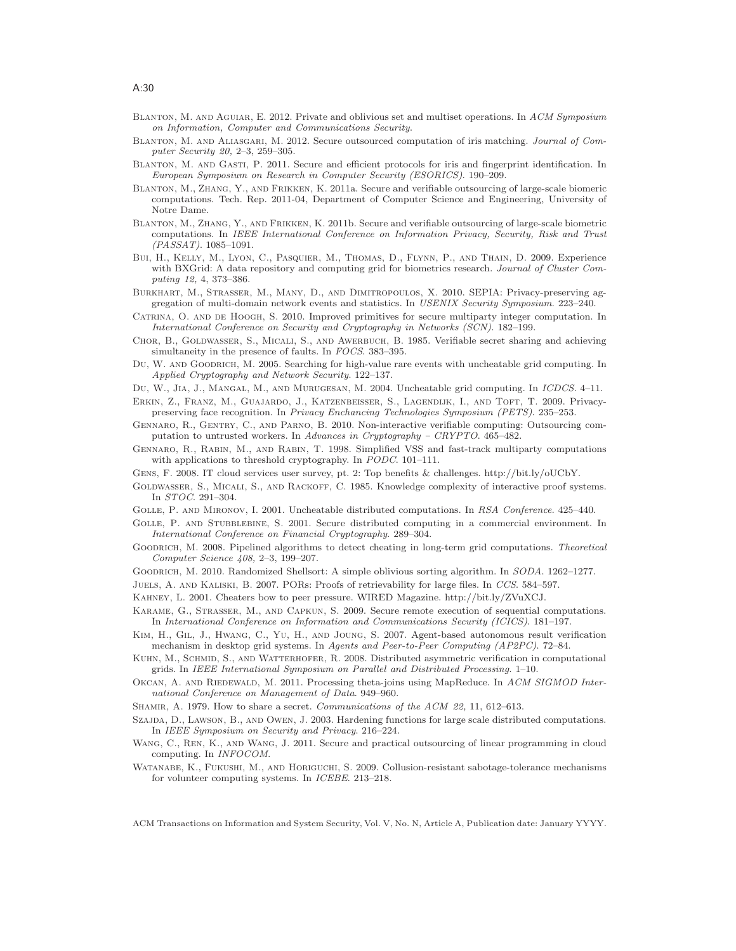- BLANTON, M. AND AGUIAR, E. 2012. Private and oblivious set and multiset operations. In ACM Symposium on Information, Computer and Communications Security.
- Blanton, M. and Aliasgari, M. 2012. Secure outsourced computation of iris matching. Journal of Computer Security 20, 2–3, 259–305.
- Blanton, M. and Gasti, P. 2011. Secure and efficient protocols for iris and fingerprint identification. In European Symposium on Research in Computer Security (ESORICS). 190–209.
- Blanton, M., Zhang, Y., and Frikken, K. 2011a. Secure and verifiable outsourcing of large-scale biomeric computations. Tech. Rep. 2011-04, Department of Computer Science and Engineering, University of Notre Dame.
- Blanton, M., Zhang, Y., and Frikken, K. 2011b. Secure and verifiable outsourcing of large-scale biometric computations. In IEEE International Conference on Information Privacy, Security, Risk and Trust (PASSAT). 1085–1091.
- Bui, H., Kelly, M., Lyon, C., Pasquier, M., Thomas, D., Flynn, P., and Thain, D. 2009. Experience with BXGrid: A data repository and computing grid for biometrics research. Journal of Cluster Computing 12, 4, 373–386.
- Burkhart, M., Strasser, M., Many, D., and Dimitropoulos, X. 2010. SEPIA: Privacy-preserving aggregation of multi-domain network events and statistics. In USENIX Security Symposium. 223–240.
- CATRINA, O. AND DE HOOGH, S. 2010. Improved primitives for secure multiparty integer computation. In International Conference on Security and Cryptography in Networks (SCN). 182–199.
- Chor, B., Goldwasser, S., Micali, S., and Awerbuch, B. 1985. Verifiable secret sharing and achieving simultaneity in the presence of faults. In FOCS. 383-395.
- Du, W. and Goodrich, M. 2005. Searching for high-value rare events with uncheatable grid computing. In Applied Cryptography and Network Security. 122–137.
- Du, W., Jia, J., Mangal, M., and Murugesan, M. 2004. Uncheatable grid computing. In ICDCS. 4–11.
- Erkin, Z., Franz, M., Guajardo, J., Katzenbeisser, S., Lagendijk, I., and Toft, T. 2009. Privacypreserving face recognition. In Privacy Enchancing Technologies Symposium (PETS). 235–253.
- GENNARO, R., GENTRY, C., AND PARNO, B. 2010. Non-interactive verifiable computing: Outsourcing computation to untrusted workers. In Advances in Cryptography – CRYPTO. 465–482.
- Gennaro, R., Rabin, M., and Rabin, T. 1998. Simplified VSS and fast-track multiparty computations with applications to threshold cryptography. In PODC. 101-111.
- Gens, F. 2008. IT cloud services user survey, pt. 2: Top benefits & challenges. http://bit.ly/oUCbY.
- GOLDWASSER, S., MICALI, S., AND RACKOFF, C. 1985. Knowledge complexity of interactive proof systems. In STOC. 291–304.
- GOLLE, P. AND MIRONOV, I. 2001. Uncheatable distributed computations. In RSA Conference. 425-440.
- GOLLE, P. AND STUBBLEBINE, S. 2001. Secure distributed computing in a commercial environment. In International Conference on Financial Cryptography. 289–304.
- Goodrich, M. 2008. Pipelined algorithms to detect cheating in long-term grid computations. Theoretical Computer Science 408, 2–3, 199–207.
- Goodrich, M. 2010. Randomized Shellsort: A simple oblivious sorting algorithm. In SODA. 1262–1277.
- Juels, A. and Kaliski, B. 2007. PORs: Proofs of retrievability for large files. In CCS. 584–597.
- Kahney, L. 2001. Cheaters bow to peer pressure. WIRED Magazine. http://bit.ly/ZVuXCJ.
- Karame, G., Strasser, M., and Capkun, S. 2009. Secure remote execution of sequential computations. In International Conference on Information and Communications Security (ICICS). 181–197.
- Kim, H., Gil, J., Hwang, C., Yu, H., and Joung, S. 2007. Agent-based autonomous result verification mechanism in desktop grid systems. In Agents and Peer-to-Peer Computing (AP2PC). 72–84.
- KUHN, M., SCHMID, S., AND WATTERHOFER, R. 2008. Distributed asymmetric verification in computational grids. In IEEE International Symposium on Parallel and Distributed Processing. 1–10.
- OKCAN, A. AND RIEDEWALD, M. 2011. Processing theta-joins using MapReduce. In ACM SIGMOD International Conference on Management of Data. 949–960.
- SHAMIR, A. 1979. How to share a secret. Communications of the ACM 22, 11, 612-613.
- Szajda, D., Lawson, B., and Owen, J. 2003. Hardening functions for large scale distributed computations. In IEEE Symposium on Security and Privacy. 216–224.
- WANG, C., REN, K., AND WANG, J. 2011. Secure and practical outsourcing of linear programming in cloud computing. In INFOCOM.
- WATANABE, K., FUKUSHI, M., AND HORIGUCHI, S. 2009. Collusion-resistant sabotage-tolerance mechanisms for volunteer computing systems. In ICEBE. 213–218.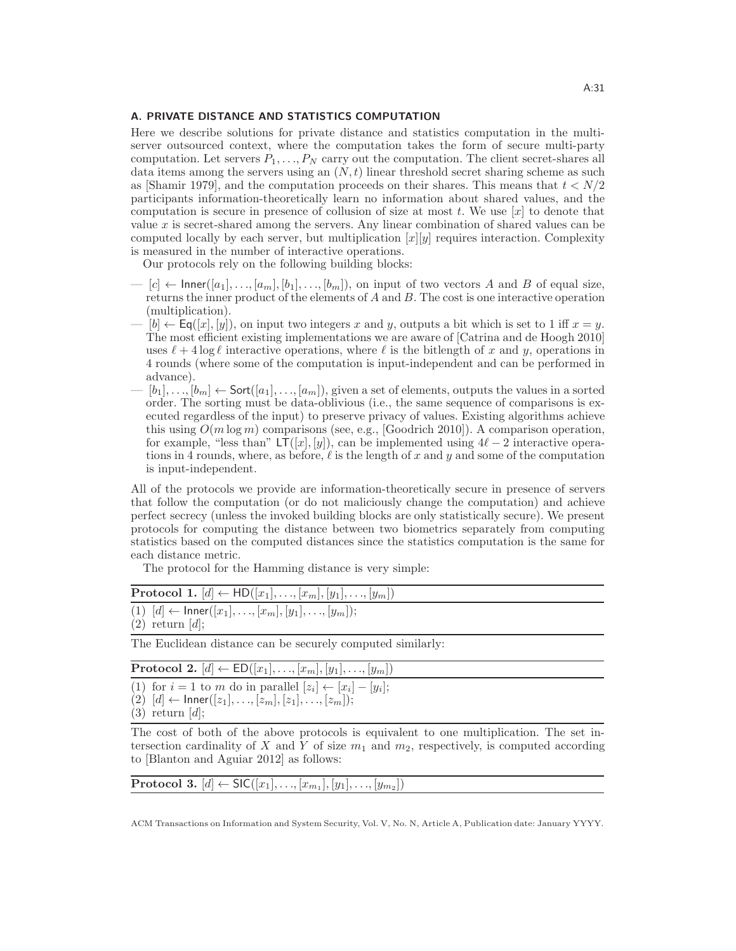## A. PRIVATE DISTANCE AND STATISTICS COMPUTATION

Here we describe solutions for private distance and statistics computation in the multiserver outsourced context, where the computation takes the form of secure multi-party computation. Let servers  $P_1, \ldots, P_N$  carry out the computation. The client secret-shares all data items among the servers using an  $(N, t)$  linear threshold secret sharing scheme as such as [Shamir 1979], and the computation proceeds on their shares. This means that  $t < N/2$ participants information-theoretically learn no information about shared values, and the computation is secure in presence of collusion of size at most t. We use  $[x]$  to denote that value  $x$  is secret-shared among the servers. Any linear combination of shared values can be computed locally by each server, but multiplication  $[x][y]$  requires interaction. Complexity is measured in the number of interactive operations.

Our protocols rely on the following building blocks:

- $[c] \leftarrow$  Inner([a<sub>1</sub>], ..., [a<sub>m</sub>], [b<sub>1</sub>], ..., [b<sub>m</sub>]), on input of two vectors A and B of equal size, returns the inner product of the elements of A and B. The cost is one interactive operation (multiplication).
- $[-16] \leftarrow \textsf{Eq}([x],[y]),$  on input two integers x and y, outputs a bit which is set to 1 iff  $x=y$ . The most efficient existing implementations we are aware of [Catrina and de Hoogh 2010] uses  $\ell + 4 \log \ell$  interactive operations, where  $\ell$  is the bitlength of x and y, operations in 4 rounds (where some of the computation is input-independent and can be performed in advance).
- $[b_1], \ldots, [b_m] \leftarrow \text{Sort}([a_1], \ldots, [a_m])$ , given a set of elements, outputs the values in a sorted order. The sorting must be data-oblivious (i.e., the same sequence of comparisons is executed regardless of the input) to preserve privacy of values. Existing algorithms achieve this using  $O(m \log m)$  comparisons (see, e.g., [Goodrich 2010]). A comparison operation, for example, "less than"  $LT([x], [y])$ , can be implemented using  $4\ell - 2$  interactive operations in 4 rounds, where, as before,  $\ell$  is the length of x and y and some of the computation is input-independent.

All of the protocols we provide are information-theoretically secure in presence of servers that follow the computation (or do not maliciously change the computation) and achieve perfect secrecy (unless the invoked building blocks are only statistically secure). We present protocols for computing the distance between two biometrics separately from computing statistics based on the computed distances since the statistics computation is the same for each distance metric.

The protocol for the Hamming distance is very simple:

| <b>Protocol 1.</b> $[d] \leftarrow HD([x_1], , [x_m], [y_1], , [y_m])$                                                           |  |
|----------------------------------------------------------------------------------------------------------------------------------|--|
| (1) $[d] \leftarrow$ Inner([x <sub>1</sub> ], , [x <sub>m</sub> ], [y <sub>1</sub> ], , [y <sub>m</sub> ]);<br>$(2)$ return [d]; |  |
| The Euclidean distance can be securely computed similarly:                                                                       |  |

**Protocol 2.**  $[d] \leftarrow \text{ED}([x_1], ..., [x_m], [y_1], ..., [y_m])$ (1) for  $i = 1$  to m do in parallel  $[z_i] \leftarrow [x_i] - [y_i];$ (2)  $[d] \leftarrow$  Inner([z<sub>1</sub>], ..., [z<sub>m</sub>], [z<sub>1</sub>], ..., [z<sub>m</sub>]);  $(3)$  return  $[d]$ ;

The cost of both of the above protocols is equivalent to one multiplication. The set intersection cardinality of X and Y of size  $m_1$  and  $m_2$ , respectively, is computed according to [Blanton and Aguiar 2012] as follows:

| <b>Protocol 3.</b> $[d] \leftarrow \text{SIC}([x_1], , [x_{m_1}], [y_1], , [y_{m_2}])$ |  |  |  |  |  |
|----------------------------------------------------------------------------------------|--|--|--|--|--|
|                                                                                        |  |  |  |  |  |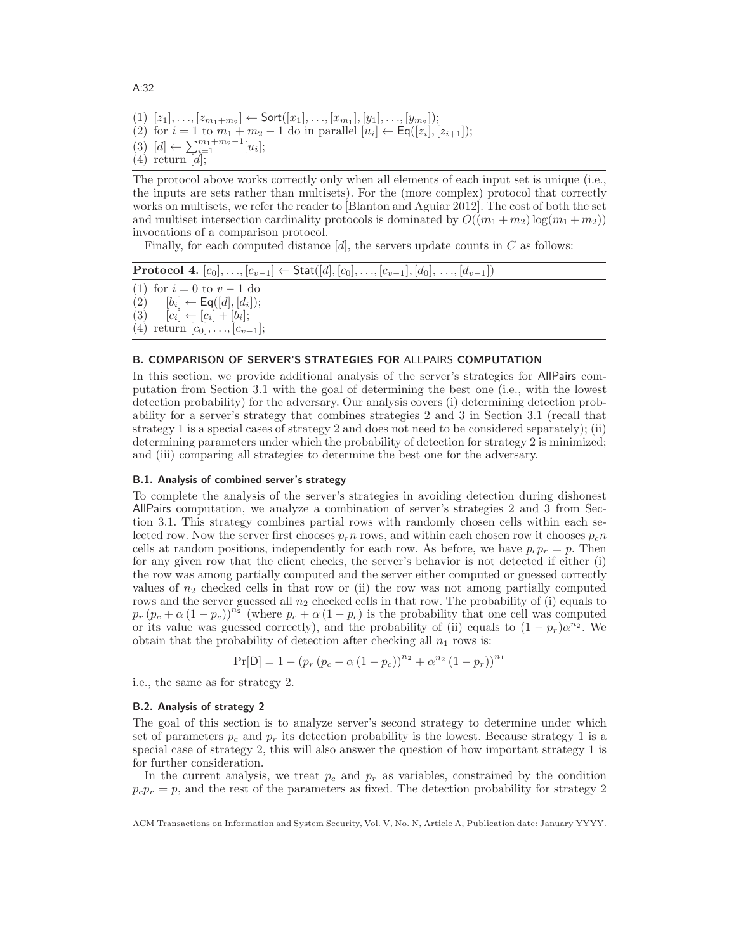$(1)$   $[z_1], \ldots, [z_{m_1+m_2}] \leftarrow$  Sort $([x_1], \ldots, [x_{m_1}], [y_1], \ldots, [y_{m_2}]),$ (2) for  $i = 1$  to  $m_1 + m_2 - 1$  do in parallel  $[u_i] \leftarrow \textsf{Eq}([z_i], [z_{i+1}])$ ;  $(3)$   $[d] \leftarrow \sum_{i=1}^{m_1+m_2-1} [u_i];$  $(4)$  return  $[d];$ 

The protocol above works correctly only when all elements of each input set is unique (i.e., the inputs are sets rather than multisets). For the (more complex) protocol that correctly works on multisets, we refer the reader to [Blanton and Aguiar 2012]. The cost of both the set and multiset intersection cardinality protocols is dominated by  $O((m_1 + m_2) \log(m_1 + m_2))$ invocations of a comparison protocol.

Finally, for each computed distance  $[d]$ , the servers update counts in C as follows:

**Protocol 4.**  $[c_0], \ldots, [c_{v-1}]$  ← Stat $([d], [c_0], \ldots, [c_{v-1}], [d_0], \ldots, [d_{v-1}])$ 

(1) for  $i = 0$  to  $v - 1$  do  $(2)$  $] \leftarrow \mathsf{Eq}([d],[d_i]);$  $(3)$  $] \leftarrow [c_i] + [b_i];$ (4) return  $[c_0], \ldots, [c_{v-1}];$ 

## B. COMPARISON OF SERVER'S STRATEGIES FOR ALLPAIRS COMPUTATION

In this section, we provide additional analysis of the server's strategies for AllPairs computation from Section 3.1 with the goal of determining the best one (i.e., with the lowest detection probability) for the adversary. Our analysis covers (i) determining detection probability for a server's strategy that combines strategies 2 and 3 in Section 3.1 (recall that strategy 1 is a special cases of strategy 2 and does not need to be considered separately); (ii) determining parameters under which the probability of detection for strategy 2 is minimized; and (iii) comparing all strategies to determine the best one for the adversary.

## B.1. Analysis of combined server's strategy

To complete the analysis of the server's strategies in avoiding detection during dishonest AllPairs computation, we analyze a combination of server's strategies 2 and 3 from Section 3.1. This strategy combines partial rows with randomly chosen cells within each selected row. Now the server first chooses  $p_r n$  rows, and within each chosen row it chooses  $p_c n$ cells at random positions, independently for each row. As before, we have  $p_c p_r = p$ . Then for any given row that the client checks, the server's behavior is not detected if either (i) the row was among partially computed and the server either computed or guessed correctly values of  $n_2$  checked cells in that row or (ii) the row was not among partially computed rows and the server guessed all  $n_2$  checked cells in that row. The probability of (i) equals to  $p_r (p_c + \alpha (1-p_c))^n$  (where  $p_c + \alpha (1-p_c)$  is the probability that one cell was computed or its value was guessed correctly), and the probability of (ii) equals to  $(1 - p_r)\alpha^{n_2}$ . We obtain that the probability of detection after checking all  $n_1$  rows is:

$$
Pr[D] = 1 - (p_r (p_c + \alpha (1 - p_c))^{n_2} + \alpha^{n_2} (1 - p_r))^{n_1}
$$

i.e., the same as for strategy 2.

### B.2. Analysis of strategy 2

The goal of this section is to analyze server's second strategy to determine under which set of parameters  $p_c$  and  $p_r$  its detection probability is the lowest. Because strategy 1 is a special case of strategy 2, this will also answer the question of how important strategy 1 is for further consideration.

In the current analysis, we treat  $p_c$  and  $p_r$  as variables, constrained by the condition  $p_c p_r = p$ , and the rest of the parameters as fixed. The detection probability for strategy 2

A:32

ACM Transactions on Information and System Security, Vol. V, No. N, Article A, Publication date: January YYYY.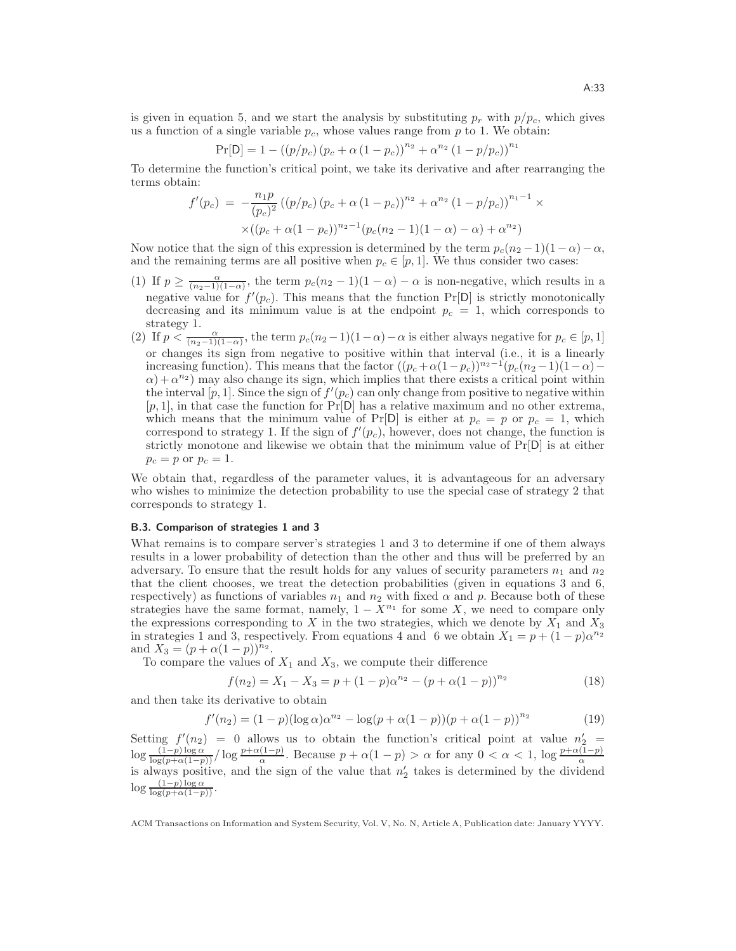$$
Pr[D] = 1 - ((p/p_c) (p_c + \alpha (1 - p_c))^{n_2} + \alpha^{n_2} (1 - p/p_c))^{n_1}
$$

To determine the function's critical point, we take its derivative and after rearranging the terms obtain:

$$
f'(p_c) = -\frac{n_1 p}{(p_c)^2} ((p/p_c) (p_c + \alpha (1 - p_c))^{n_2} + \alpha^{n_2} (1 - p/p_c))^{n_1 - 1} \times
$$
  
 
$$
\times ((p_c + \alpha (1 - p_c))^{n_2 - 1} (p_c(n_2 - 1)(1 - \alpha) - \alpha) + \alpha^{n_2})
$$

Now notice that the sign of this expression is determined by the term  $p_c(n_2-1)(1-\alpha)-\alpha$ , and the remaining terms are all positive when  $p_c \in [p, 1]$ . We thus consider two cases:

- (1) If  $p \ge \frac{\alpha}{(n_2-1)(1-\alpha)}$ , the term  $p_c(n_2-1)(1-\alpha) \alpha$  is non-negative, which results in a negative value for  $f'(p_c)$ . This means that the function Pr[D] is strictly monotonically decreasing and its minimum value is at the endpoint  $p_c = 1$ , which corresponds to strategy 1.
- (2) If  $p < \frac{\alpha}{(n_2-1)(1-\alpha)}$ , the term  $p_c(n_2-1)(1-\alpha)-\alpha$  is either always negative for  $p_c \in [p,1]$ or changes its sign from negative to positive within that interval (i.e., it is a linearly increasing function). This means that the factor  $((p_c + \alpha(1-p_c))^{n_2-1}(p_c(n_2-1)(1-\alpha) \alpha$ ) +  $\alpha^{n_2}$ ) may also change its sign, which implies that there exists a critical point within the interval  $[p, 1]$ . Since the sign of  $f'(p_c)$  can only change from positive to negative within  $[p, 1]$ , in that case the function for  $Pr[D]$  has a relative maximum and no other extrema, which means that the minimum value of Pr[D] is either at  $p_c = p$  or  $p_c = 1$ , which correspond to strategy 1. If the sign of  $f'(p_c)$ , however, does not change, the function is strictly monotone and likewise we obtain that the minimum value of  $Pr[D]$  is at either  $p_c = p$  or  $p_c = 1$ .

We obtain that, regardless of the parameter values, it is advantageous for an adversary who wishes to minimize the detection probability to use the special case of strategy 2 that corresponds to strategy 1.

### B.3. Comparison of strategies 1 and 3

What remains is to compare server's strategies 1 and 3 to determine if one of them always results in a lower probability of detection than the other and thus will be preferred by an adversary. To ensure that the result holds for any values of security parameters  $n_1$  and  $n_2$ that the client chooses, we treat the detection probabilities (given in equations 3 and 6, respectively) as functions of variables  $n_1$  and  $n_2$  with fixed  $\alpha$  and  $p$ . Because both of these strategies have the same format, namely,  $1 - X^{n_1}$  for some X, we need to compare only the expressions corresponding to X in the two strategies, which we denote by  $X_1$  and  $X_3$ in strategies 1 and 3, respectively. From equations 4 and 6 we obtain  $X_1 = p + (1 - p)\alpha^{n_2}$ and  $X_3 = (p + \alpha(1-p))^{n_2}$ .

To compare the values of  $X_1$  and  $X_3$ , we compute their difference

$$
f(n_2) = X_1 - X_3 = p + (1 - p)\alpha^{n_2} - (p + \alpha(1 - p))^{n_2}
$$
\n(18)

and then take its derivative to obtain

$$
f'(n_2) = (1 - p)(\log \alpha)\alpha^{n_2} - \log(p + \alpha(1 - p))(p + \alpha(1 - p))^{n_2}
$$
 (19)

Setting  $f'(n_2) = 0$  allows us to obtain the function's critical point at value  $n'_2 =$  $\log \frac{(1-p)\log \alpha}{\log(p+\alpha(1-p))}/\log \frac{p+\alpha(1-p)}{\alpha}$ . Because  $p+\alpha(1-p) > \alpha$  for any  $0 < \alpha < 1$ ,  $\log \frac{p+\alpha(1-p)}{\alpha}$ is always positive, and the sign of the value that  $n'_2$  takes is determined by the dividend  $\log \frac{(1-p)\log \alpha}{\log (p+\alpha(1-p))}.$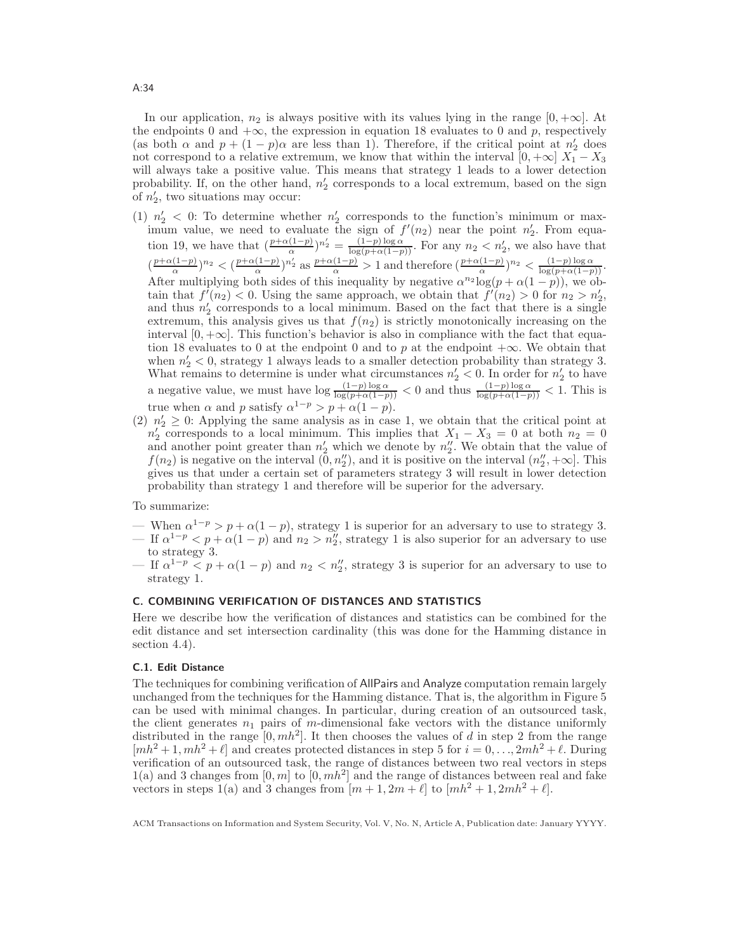In our application,  $n_2$  is always positive with its values lying in the range  $[0, +\infty]$ . At the endpoints 0 and  $+\infty$ , the expression in equation 18 evaluates to 0 and p, respectively (as both  $\alpha$  and  $p + (1 - p)\alpha$  are less than 1). Therefore, if the critical point at  $n'_2$  does not correspond to a relative extremum, we know that within the interval  $[0, +\infty] X_1 - X_3$ will always take a positive value. This means that strategy 1 leads to a lower detection probability. If, on the other hand,  $n'_2$  corresponds to a local extremum, based on the sign of  $n'_2$ , two situations may occur:

- (1)  $n'_2$  < 0: To determine whether  $n'_2$  corresponds to the function's minimum or maximum value, we need to evaluate the sign of  $f'(n_2)$  near the point  $n'_2$ . From equation 19, we have that  $(\frac{p+\alpha(1-p)}{\alpha})^{n'_2} = \frac{(1-p)\log \alpha}{\log(p+\alpha(1-p))}$ . For any  $n_2 < n'_2$ , we also have that  $\left(\frac{p+\alpha(1-p)}{\alpha}\right)$  $\frac{(1-p)}{\alpha})^{n_2} < (\frac{p+\alpha(1-p)}{\alpha})$  $\frac{(1-p)}{\alpha}$ )<sup>n'</sup><sub>2</sub> as  $\frac{p+\alpha(1-p)}{\alpha} > 1$  and therefore  $\left(\frac{p+\alpha(1-p)}{\alpha}\right)^{n_2} < \frac{(1-p)\log\alpha}{\log(p+\alpha(1-p))}$ . After multiplying both sides of this inequality by negative  $\alpha^{n_2} \log(p + \alpha(1-p))$ , we obtain that  $f'(n_2) < 0$ . Using the same approach, we obtain that  $f'(n_2) > 0$  for  $n_2 > n'_2$ , and thus  $n'_2$  corresponds to a local minimum. Based on the fact that there is a single extremum, this analysis gives us that  $f(n_2)$  is strictly monotonically increasing on the interval  $[0, +\infty]$ . This function's behavior is also in compliance with the fact that equation 18 evaluates to 0 at the endpoint 0 and to p at the endpoint  $+\infty$ . We obtain that when  $n'_2 < 0$ , strategy 1 always leads to a smaller detection probability than strategy 3. What remains to determine is under what circumstances  $n'_2 < 0$ . In order for  $n'_2$  to have a negative value, we must have  $\log \frac{(1-p)\log \alpha}{\log(p+\alpha(1-p))} < 0$  and thus  $\frac{(1-p)\log \alpha}{\log(p+\alpha(1-p))} < 1$ . This is true when  $\alpha$  and p satisfy  $\alpha^{1-p} > p + \alpha(1-p)$ .
- (2)  $n'_2 \geq 0$ : Applying the same analysis as in case 1, we obtain that the critical point at  $n'_2$  corresponds to a local minimum. This implies that  $X_1 - X_3 = 0$  at both  $n_2 = 0$  and another point greater than  $n'_2$  which we denote by  $n''_2$ . We obtain that the value of  $f(n_2)$  is negative on the interval  $(0, n_2'')$ , and it is positive on the interval  $(n_2'', +\infty]$ . This gives us that under a certain set of parameters strategy 3 will result in lower detection probability than strategy 1 and therefore will be superior for the adversary.

To summarize:

- 
- When  $\alpha^{1-p} > p + \alpha(1-p)$ , strategy 1 is superior for an adversary to use to strategy 3.<br>— If  $\alpha^{1-p} < p + \alpha(1-p)$  and  $n_2 > n''_2$ , strategy 1 is also superior for an adversary to use to strategy 3.
- If  $\alpha^{1-p} \leq p + \alpha(1-p)$  and  $n_2 < n''_2$ , strategy 3 is superior for an adversary to use to strategy 1.

## C. COMBINING VERIFICATION OF DISTANCES AND STATISTICS

Here we describe how the verification of distances and statistics can be combined for the edit distance and set intersection cardinality (this was done for the Hamming distance in section 4.4).

## C.1. Edit Distance

The techniques for combining verification of AllPairs and Analyze computation remain largely unchanged from the techniques for the Hamming distance. That is, the algorithm in Figure 5 can be used with minimal changes. In particular, during creation of an outsourced task, the client generates  $n_1$  pairs of m-dimensional fake vectors with the distance uniformly distributed in the range  $[0, mh^2]$ . It then chooses the values of d in step 2 from the range  $[mh^2 + 1, mh^2 + \ell]$  and creates protected distances in step 5 for  $i = 0, \ldots, 2mh^2 + \ell$ . During verification of an outsourced task, the range of distances between two real vectors in steps  $1(a)$  and 3 changes from  $[0, m]$  to  $[0, mh^2]$  and the range of distances between real and fake vectors in steps 1(a) and 3 changes from  $[m+1, 2m+\ell]$  to  $[mh^2+1, 2mh^2+\ell]$ .